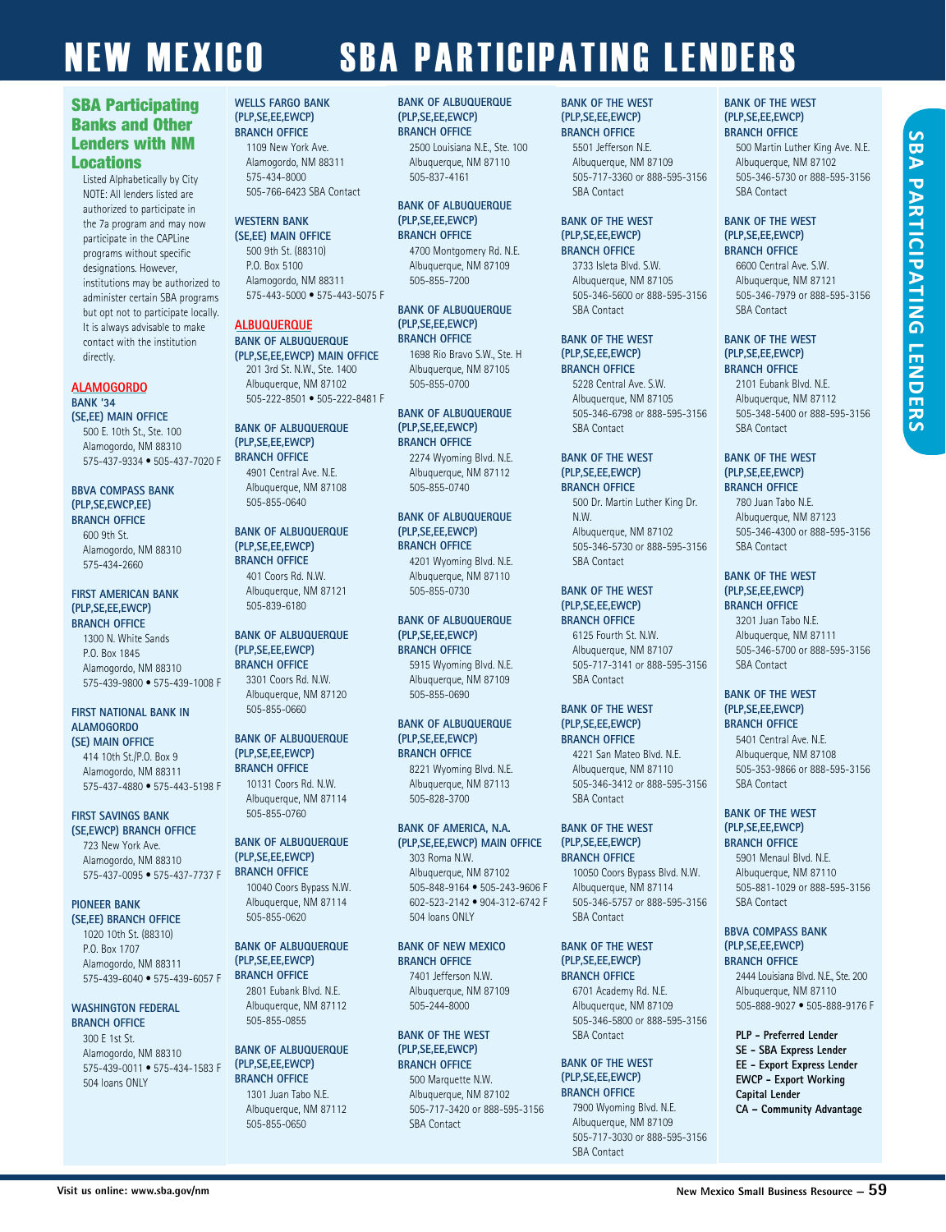#### SBA Participating Banks and Other Lenders with NM Locations

Listed Alphabetically by City NOTE: All lenders listed are authorized to participate in the 7a program and may now participate in the CAPLine programs without specific designations. However, institutions may be authorized to administer certain SBA programs but opt not to participate locally. It is always advisable to make contact with the institution directly.

#### **ALAMOGORDO**

#### **BANK '34 (SE,EE) MAIN OFFICE** 500 E. 10th St., Ste. 100

Alamogordo, NM 88310 575-437-9334 • 505-437-7020 F

#### **BBVA COMPASS BANK (PLP,SE,EWCP,EE) BRANCH OFFICE**

600 9th St. Alamogordo, NM 88310 575-434-2660

#### **FIRST AMERICAN BANK (PLP,SE,EE,EWCP) BRANCH OFFICE**

1300 N. White Sands P.O. Box 1845 Alamogordo, NM 88310 575-439-9800 • 575-439-1008 F

#### **FIRST NATIONAL BANK IN ALAMOGORDO (SE) MAIN OFFICE**

414 10th St./P.O. Box 9 Alamogordo, NM 88311 575-437-4880 • 575-443-5198 F

#### **FIRST SAVINGS BANK**

**(SE,EWCP) BRANCH OFFICE**  723 New York Ave. Alamogordo, NM 88310 575-437-0095 • 575-437-7737 F

#### **PIONEER BANK**

**(SE,EE) BRANCH OFFICE** 1020 10th St. (88310) P.O. Box 1707 Alamogordo, NM 88311 575-439-6040 • 575-439-6057 F

#### **WASHINGTON FEDERAL BRANCH OFFICE**

300 E 1st St. Alamogordo, NM 88310 575-439-0011 • 575-434-1583 F 504 loans ONLY

#### **WELLS FARGO BANK (PLP,SE,EE,EWCP) BRANCH OFFICE**

1109 New York Ave. Alamogordo, NM 88311 575-434-8000 505-766-6423 SBA Contact

#### **WESTERN BANK (SE,EE) MAIN OFFICE**

500 9th St. (88310) P.O. Box 5100 Alamogordo, NM 88311 575-443-5000 • 575-443-5075 F

#### **ALBUQUERQUE BANK OF ALBUQUERQUE**

**(PLP,SE,EE,EWCP) MAIN OFFICE** 201 3rd St. N.W., Ste. 1400 Albuquerque, NM 87102 505-222-8501 • 505-222-8481 F

#### **BANK OF ALBUQUERQUE (PLP,SE,EE,EWCP) BRANCH OFFICE** 4901 Central Ave. N.E.

Albuquerque, NM 87108 505-855-0640

#### **BANK OF ALBUQUERQUE (PLP,SE,EE,EWCP) BRANCH OFFICE**

401 Coors Rd. N.W. Albuquerque, NM 87121 505-839-6180

#### **BANK OF ALBUQUERQUE (PLP,SE,EE,EWCP) BRANCH OFFICE**

3301 Coors Rd. N.W. Albuquerque, NM 87120 505-855-0660

#### **BANK OF ALBUQUERQUE (PLP,SE,EE,EWCP) BRANCH OFFICE**

10131 Coors Rd. N.W. Albuquerque, NM 87114 505-855-0760

#### **BANK OF ALBUQUERQUE (PLP,SE,EE,EWCP) BRANCH OFFICE**

10040 Coors Bypass N.W. Albuquerque, NM 87114 505-855-0620

#### **BANK OF ALBUQUERQUE (PLP,SE,EE,EWCP) BRANCH OFFICE**

2801 Eubank Blvd. N.E. Albuquerque, NM 87112 505-855-0855

#### **BANK OF ALBUQUERQUE (PLP,SE,EE,EWCP) BRANCH OFFICE** 1301 Juan Tabo N.E. Albuquerque, NM 87112

505-855-0650

#### **BANK OF ALBUQUERQUE (PLP,SE,EE,EWCP) BRANCH OFFICE**

2500 Louisiana N.E., Ste. 100 Albuquerque, NM 87110 505-837-4161

#### **BANK OF ALBUQUERQUE (PLP,SE,EE,EWCP) BRANCH OFFICE**

4700 Montgomery Rd. N.E. Albuquerque, NM 87109 505-855-7200

#### **BANK OF ALBUQUERQUE (PLP,SE,EE,EWCP) BRANCH OFFICE**

1698 Rio Bravo S.W., Ste. H Albuquerque, NM 87105 505-855-0700

#### **BANK OF ALBUQUERQUE (PLP,SE,EE,EWCP) BRANCH OFFICE**

2274 Wyoming Blvd. N.E. Albuquerque, NM 87112 505-855-0740

#### **BANK OF ALBUQUERQUE (PLP,SE,EE,EWCP) BRANCH OFFICE**

4201 Wyoming Blvd. N.E. Albuquerque, NM 87110 505-855-0730

#### **BANK OF ALBUQUERQUE (PLP,SE,EE,EWCP) BRANCH OFFICE**

5915 Wyoming Blvd. N.E. Albuquerque, NM 87109 505-855-0690

#### **BANK OF ALBUQUERQUE (PLP,SE,EE,EWCP) BRANCH OFFICE**

8221 Wyoming Blvd. N.E. Albuquerque, NM 87113 505-828-3700

#### **BANK OF AMERICA, N.A. (PLP,SE,EE,EWCP) MAIN OFFICE**

303 Roma N.W. Albuquerque, NM 87102 505-848-9164 • 505-243-9606 F 602-523-2142 • 904-312-6742 F 504 loans ONLY

#### **BANK OF NEW MEXICO BRANCH OFFICE**

7401 Jefferson N.W. Albuquerque, NM 87109 505-244-8000

#### **BANK OF THE WEST (PLP,SE,EE,EWCP) BRANCH OFFICE**

500 Marquette N.W. Albuquerque, NM 87102 505-717-3420 or 888-595-3156 SBA Contact

#### **BANK OF THE WEST (PLP,SE,EE,EWCP) BRANCH OFFICE**

5501 Jefferson N.E. Albuquerque, NM 87109 505-717-3360 or 888-595-3156 SBA Contact

#### **BANK OF THE WEST (PLP,SE,EE,EWCP) BRANCH OFFICE**

3733 Isleta Blvd. S.W. Albuquerque, NM 87105 505-346-5600 or 888-595-3156 SBA Contact

#### **BANK OF THE WEST (PLP,SE,EE,EWCP)**

**BRANCH OFFICE** 5228 Central Ave. S.W. Albuquerque, NM 87105 505-346-6798 or 888-595-3156 SBA Contact

#### **BANK OF THE WEST (PLP,SE,EE,EWCP) BRANCH OFFICE**

500 Dr. Martin Luther King Dr. N.W. Albuquerque, NM 87102 505-346-5730 or 888-595-3156 SBA Contact

#### **BANK OF THE WEST (PLP,SE,EE,EWCP)**

**BRANCH OFFICE** 6125 Fourth St. N.W. Albuquerque, NM 87107 505-717-3141 or 888-595-3156 SBA Contact

#### **BANK OF THE WEST (PLP,SE,EE,EWCP)**

**BRANCH OFFICE**

4221 San Mateo Blvd. N.E. Albuquerque, NM 87110 505-346-3412 or 888-595-3156 SBA Contact

#### **BANK OF THE WEST (PLP,SE,EE,EWCP) BRANCH OFFICE**

10050 Coors Bypass Blvd. N.W. Albuquerque, NM 87114 505-346-5757 or 888-595-3156 SBA Contact

#### **BANK OF THE WEST (PLP,SE,EE,EWCP) BRANCH OFFICE**

6701 Academy Rd. N.E. Albuquerque, NM 87109 505-346-5800 or 888-595-3156 SBA Contact

#### **BANK OF THE WEST (PLP,SE,EE,EWCP) BRANCH OFFICE**

7900 Wyoming Blvd. N.E. Albuquerque, NM 87109 505-717-3030 or 888-595-3156 SBA Contact

#### **BANK OF THE WEST (PLP,SE,EE,EWCP) BRANCH OFFICE**

500 Martin Luther King Ave. N.E. Albuquerque, NM 87102 505-346-5730 or 888-595-3156 SBA Contact

#### **BANK OF THE WEST (PLP,SE,EE,EWCP) BRANCH OFFICE**

6600 Central Ave. S.W. Albuquerque, NM 87121 505-346-7979 or 888-595-3156 SBA Contact

#### **BANK OF THE WEST (PLP,SE,EE,EWCP) BRANCH OFFICE**

2101 Eubank Blvd. N.E. Albuquerque, NM 87112 505-348-5400 or 888-595-3156 SBA Contact

#### **BANK OF THE WEST (PLP,SE,EE,EWCP) BRANCH OFFICE**

780 Juan Tabo N.E. Albuquerque, NM 87123 505-346-4300 or 888-595-3156 SBA Contact

#### **BANK OF THE WEST (PLP,SE,EE,EWCP) BRANCH OFFICE**

3201 Juan Tabo N.E. Albuquerque, NM 87111 505-346-5700 or 888-595-3156 SBA Contact

#### **BANK OF THE WEST (PLP,SE,EE,EWCP) BRANCH OFFICE**

5401 Central Ave. N.E. Albuquerque, NM 87108 505-353-9866 or 888-595-3156 SBA Contact

#### **BANK OF THE WEST (PLP,SE,EE,EWCP) BRANCH OFFICE**

5901 Menaul Blvd. N.E. Albuquerque, NM 87110 505-881-1029 or 888-595-3156 SBA Contact

#### **BBVA COMPASS BANK (PLP,SE,EE,EWCP)**

**BRANCH OFFICE** 2444 Louisiana Blvd. N.E., Ste. 200 Albuquerque, NM 87110 505-888-9027 • 505-888-9176 F

#### **PLP - Preferred Lender SE - SBA Express Lender EE - Export Express Lender EWCP - Export Working Capital Lender CA – Community Advantage**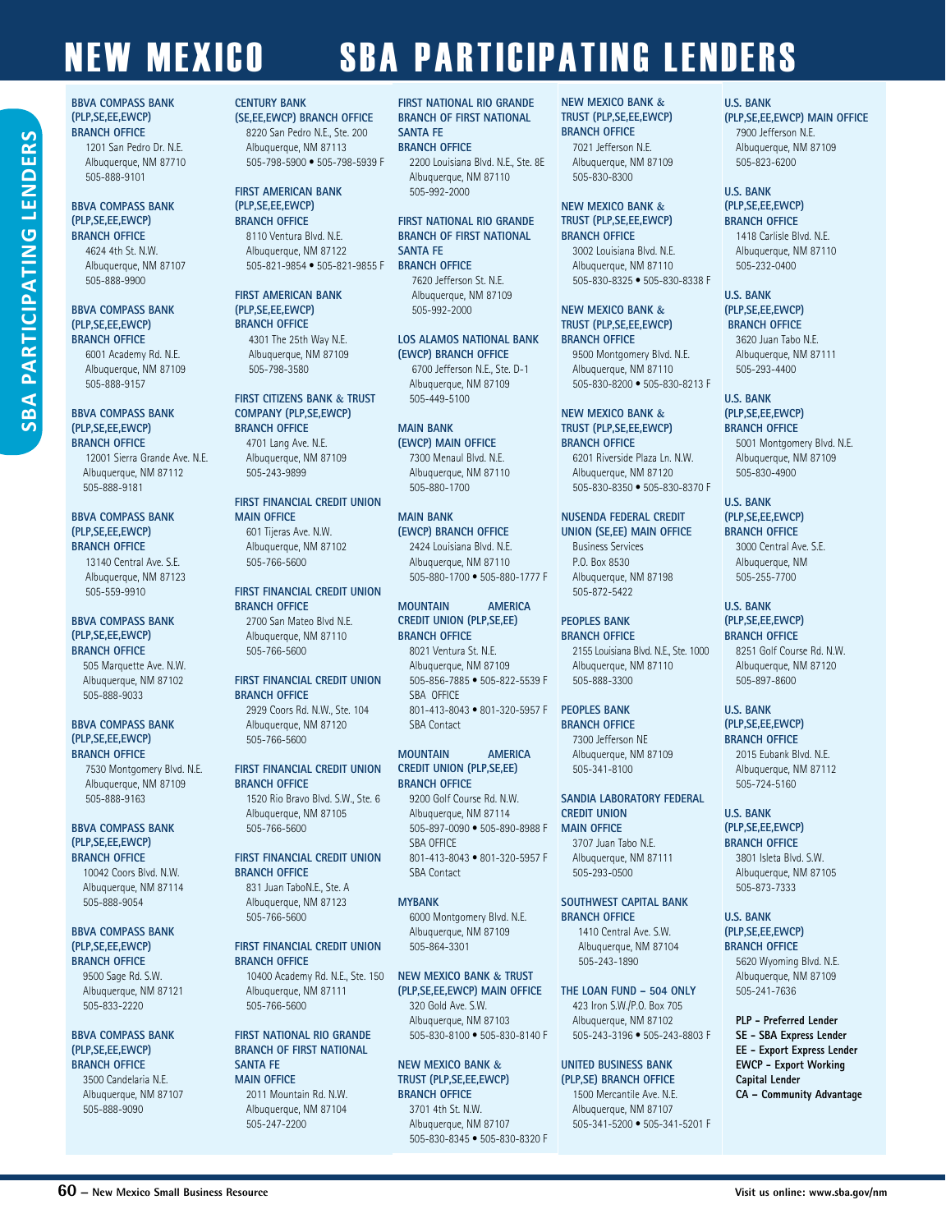#### **BBVA COMPASS BANK (PLP,SE,EE,EWCP) BRANCH OFFICE**

**BBVA COMPASS BANK (PLP,SE,EE,EWCP) BRANCH OFFICE** 1201 San Pedro Dr. N.E. Albuquerque, NM 87710 505-888-9101 **BBVA COMPASS BANK (PLP,SE,EE,EWCP) BRANCH OFFICE** 4624 4th St. N.W. Albuquerque, NM 87107 505-888-9900

6001 Academy Rd. N.E. Albuquerque, NM 87109 505-888-9157

#### **BBVA COMPASS BANK (PLP,SE,EE,EWCP) BRANCH OFFICE**

12001 Sierra Grande Ave. N.E. Albuquerque, NM 87112 505-888-9181

#### **BBVA COMPASS BANK (PLP,SE,EE,EWCP) BRANCH OFFICE**

13140 Central Ave. S.E. Albuquerque, NM 87123 505-559-9910

#### **BBVA COMPASS BANK (PLP,SE,EE,EWCP) BRANCH OFFICE**

505 Marquette Ave. N.W. Albuquerque, NM 87102 505-888-9033

#### **BBVA COMPASS BANK (PLP,SE,EE,EWCP) BRANCH OFFICE**

7530 Montgomery Blvd. N.E. Albuquerque, NM 87109 505-888-9163

#### **BBVA COMPASS BANK (PLP,SE,EE,EWCP) BRANCH OFFICE**

10042 Coors Blvd. N.W. Albuquerque, NM 87114 505-888-9054

#### **BBVA COMPASS BANK (PLP,SE,EE,EWCP) BRANCH OFFICE**

9500 Sage Rd. S.W. Albuquerque, NM 87121 505-833-2220

#### **BBVA COMPASS BANK (PLP,SE,EE,EWCP) BRANCH OFFICE**

3500 Candelaria N.E. Albuquerque, NM 87107 505-888-9090

#### **CENTURY BANK (SE,EE,EWCP) BRANCH OFFICE**

8220 San Pedro N.E., Ste. 200 Albuquerque, NM 87113 505-798-5900 • 505-798-5939 F

#### **FIRST AMERICAN BANK (PLP,SE,EE,EWCP) BRANCH OFFICE**

8110 Ventura Blvd. N.E. Albuquerque, NM 87122 505-821-9854 • 505-821-9855 F

#### **FIRST AMERICAN BANK (PLP,SE,EE,EWCP) BRANCH OFFICE**

4301 The 25th Way N.E. Albuquerque, NM 87109 505-798-3580

#### **FIRST CITIZENS BANK & TRUST COMPANY (PLP,SE,EWCP) BRANCH OFFICE** 4701 Lang Ave. N.E.

Albuquerque, NM 87109 505-243-9899

#### **FIRST FINANCIAL CREDIT UNION MAIN OFFICE**

601 Tijeras Ave. N.W. Albuquerque, NM 87102 505-766-5600

#### **FIRST FINANCIAL CREDIT UNION BRANCH OFFICE** 2700 San Mateo Blvd N.E. Albuquerque, NM 87110 505-766-5600

**FIRST FINANCIAL CREDIT UNION BRANCH OFFICE**

2929 Coors Rd. N.W., Ste. 104 Albuquerque, NM 87120 505-766-5600

#### **FIRST FINANCIAL CREDIT UNION BRANCH OFFICE**

1520 Rio Bravo Blvd. S.W., Ste. 6 Albuquerque, NM 87105 505-766-5600

#### **FIRST FINANCIAL CREDIT UNION BRANCH OFFICE**

831 Juan TaboN.E., Ste. A Albuquerque, NM 87123 505-766-5600

#### **FIRST FINANCIAL CREDIT UNION BRANCH OFFICE**

10400 Academy Rd. N.E., Ste. 150 Albuquerque, NM 87111 505-766-5600

#### **FIRST NATIONAL RIO GRANDE BRANCH OF FIRST NATIONAL SANTA FE MAIN OFFICE**  2011 Mountain Rd. N.W. Albuquerque, NM 87104

505-247-2200

**FIRST NATIONAL RIO GRANDE BRANCH OF FIRST NATIONAL SANTA FE BRANCH OFFICE**

2200 Louisiana Blvd. N.E., Ste. 8E Albuquerque, NM 87110 505-992-2000

#### **FIRST NATIONAL RIO GRANDE BRANCH OF FIRST NATIONAL SANTA FE BRANCH OFFICE**

7620 Jefferson St. N.E. Albuquerque, NM 87109 505-992-2000

#### **LOS ALAMOS NATIONAL BANK (EWCP) BRANCH OFFICE** 6700 Jefferson N.E., Ste. D-1

Albuquerque, NM 87109 505-449-5100

#### **MAIN BANK**

**(EWCP) MAIN OFFICE** 7300 Menaul Blvd. N.E. Albuquerque, NM 87110 505-880-1700

#### **MAIN BANK (EWCP) BRANCH OFFICE** 2424 Louisiana Blvd. N.E.

Albuquerque, NM 87110 505-880-1700 • 505-880-1777 F

#### **MOUNTAIN AMERICA CREDIT UNION (PLP,SE,EE) BRANCH OFFICE**  8021 Ventura St. N.E.

Albuquerque, NM 87109 505-856-7885 • 505-822-5539 F SBA OFFICE 801-413-8043 • 801-320-5957 F SBA Contact

#### **MOUNTAIN AMERICA CREDIT UNION (PLP,SE,EE) BRANCH OFFICE**

9200 Golf Course Rd. N.W. Albuquerque, NM 87114 505-897-0090 • 505-890-8988 F SRA OFFICE 801-413-8043 • 801-320-5957 F SBA Contact

#### **MYBANK**

6000 Montgomery Blvd. N.E. Albuquerque, NM 87109 505-864-3301

#### **NEW MEXICO BANK & TRUST (PLP,SE,EE,EWCP) MAIN OFFICE**

320 Gold Ave. S.W. Albuquerque, NM 87103 505-830-8100 • 505-830-8140 F

#### **NEW MEXICO BANK & TRUST (PLP,SE,EE,EWCP) BRANCH OFFICE** 3701 4th St. N.W.

Albuquerque, NM 87107 505-830-8345 • 505-830-8320 F

#### **NEW MEXICO BANK & TRUST (PLP,SE,EE,EWCP) BRANCH OFFICE**

7021 Jefferson N.E. Albuquerque, NM 87109 505-830-8300

#### **NEW MEXICO BANK & TRUST (PLP,SE,EE,EWCP) BRANCH OFFICE**

3002 Louisiana Blvd. N.E. Albuquerque, NM 87110 505-830-8325 • 505-830-8338 F

#### **NEW MEXICO BANK & TRUST (PLP,SE,EE,EWCP) BRANCH OFFICE**

9500 Montgomery Blvd. N.E. Albuquerque, NM 87110 505-830-8200 • 505-830-8213 F

#### **NEW MEXICO BANK & TRUST (PLP,SE,EE,EWCP)**

**BRANCH OFFICE** 6201 Riverside Plaza Ln. N.W. Albuquerque, NM 87120 505-830-8350 • 505-830-8370 F

#### **NUSENDA FEDERAL CREDIT UNION (SE,EE) MAIN OFFICE**

Business Services P.O. Box 8530 Albuquerque, NM 87198 505-872-5422

#### **PEOPLES BANK BRANCH OFFICE**

2155 Louisiana Blvd. N.E., Ste. 1000 Albuquerque, NM 87110 505-888-3300

#### **PEOPLES BANK**

**BRANCH OFFICE** 7300 Jefferson NE Albuquerque, NM 87109 505-341-8100

#### **SANDIA LABORATORY FEDERAL CREDIT UNION MAIN OFFICE**

3707 Juan Tabo N.E. Albuquerque, NM 87111 505-293-0500

#### **SOUTHWEST CAPITAL BANK BRANCH OFFICE**

 1410 Central Ave. S.W. Albuquerque, NM 87104 505-243-1890

**THE LOAN FUND – 504 ONLY** 423 Iron S.W./P.O. Box 705 Albuquerque, NM 87102 505-243-3196 • 505-243-8803 F

#### **UNITED BUSINESS BANK**

**(PLP,SE) BRANCH OFFICE**  1500 Mercantile Ave. N.E. Albuquerque, NM 87107 505-341-5200 • 505-341-5201 F

#### **U.S. BANK**

**(PLP,SE,EE,EWCP) MAIN OFFICE** 7900 Jefferson N.E. Albuquerque, NM 87109 505-823-6200

#### **U.S. BANK (PLP,SE,EE,EWCP)**

**BRANCH OFFICE** 1418 Carlisle Blvd. N.E. Albuquerque, NM 87110 505-232-0400

#### **U.S. BANK (PLP,SE,EE,EWCP) BRANCH OFFICE**

3620 Juan Tabo N.E. Albuquerque, NM 87111 505-293-4400

#### **U.S. BANK (PLP,SE,EE,EWCP)**

**BRANCH OFFICE** 5001 Montgomery Blvd. N.E. Albuquerque, NM 87109 505-830-4900

#### **U.S. BANK (PLP,SE,EE,EWCP) BRANCH OFFICE**

3000 Central Ave. S.E. Albuquerque, NM 505-255-7700

#### **U.S. BANK (PLP,SE,EE,EWCP) BRANCH OFFICE**

8251 Golf Course Rd. N.W. Albuquerque, NM 87120 505-897-8600

#### **U.S. BANK (PLP,SE,EE,EWCP)**

**BRANCH OFFICE** 2015 Eubank Blvd. N.E. Albuquerque, NM 87112

### 505-724-5160 **U.S. BANK**

#### **(PLP,SE,EE,EWCP) BRANCH OFFICE**

3801 Isleta Blvd. S.W. Albuquerque, NM 87105 505-873-7333

#### **U.S. BANK (PLP,SE,EE,EWCP) BRANCH OFFICE**

5620 Wyoming Blvd. N.E. Albuquerque, NM 87109 505-241-7636

**PLP - Preferred Lender SE - SBA Express Lender EE - Export Express Lender EWCP - Export Working Capital Lender**

**CA – Community Advantage**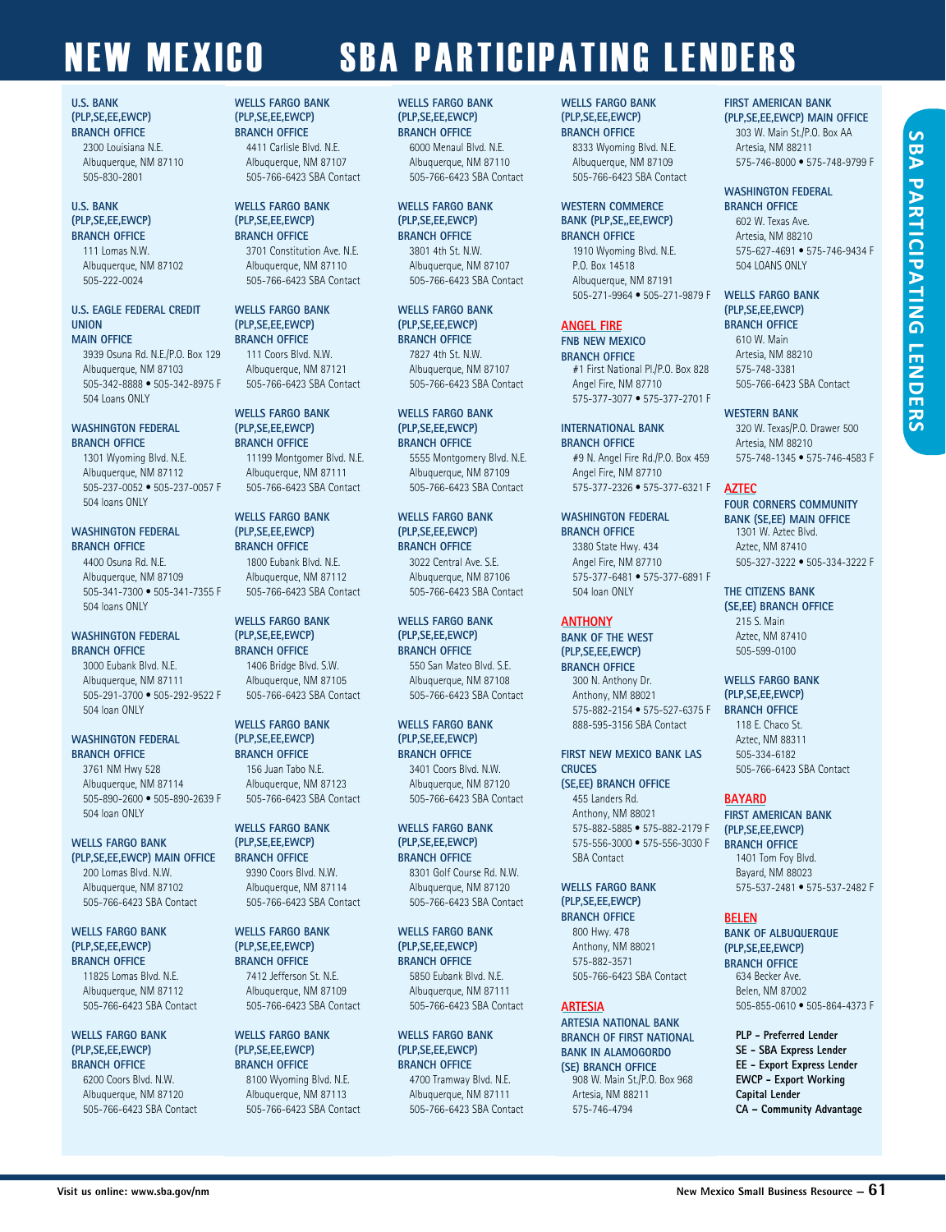#### **U.S. BANK (PLP,SE,EE,EWCP) BRANCH OFFICE**

2300 Louisiana N.E. Albuquerque, NM 87110 505-830-2801

#### **U.S. BANK (PLP,SE,EE,EWCP) BRANCH OFFICE**

111 Lomas N.W. Albuquerque, NM 87102 505-222-0024

#### **U.S. EAGLE FEDERAL CREDIT UNION MAIN OFFICE**

3939 Osuna Rd. N.E./P.O. Box 129 Albuquerque, NM 87103 505-342-8888 • 505-342-8975 F 504 Loans ONLY

#### **WASHINGTON FEDERAL BRANCH OFFICE**

1301 Wyoming Blvd. N.E. Albuquerque, NM 87112 505-237-0052 • 505-237-0057 F 504 loans ONLY

#### **WASHINGTON FEDERAL BRANCH OFFICE**

4400 Osuna Rd. N.E. Albuquerque, NM 87109 505-341-7300 • 505-341-7355 F 504 loans ONLY

#### **WASHINGTON FEDERAL BRANCH OFFICE**

3000 Eubank Blvd. N.E. Albuquerque, NM 87111 505-291-3700 • 505-292-9522 F 504 loan ONLY

#### **WASHINGTON FEDERAL BRANCH OFFICE**

3761 NM Hwy 528 Albuquerque, NM 87114 505-890-2600 • 505-890-2639 F 504 loan ONLY

#### **WELLS FARGO BANK (PLP,SE,EE,EWCP) MAIN OFFICE**

200 Lomas Blvd. N.W. Albuquerque, NM 87102 505-766-6423 SBA Contact

#### **WELLS FARGO BANK (PLP,SE,EE,EWCP) BRANCH OFFICE**

11825 Lomas Blvd. N.E. Albuquerque, NM 87112 505-766-6423 SBA Contact

#### **WELLS FARGO BANK (PLP,SE,EE,EWCP) BRANCH OFFICE**

6200 Coors Blvd. N.W. Albuquerque, NM 87120 505-766-6423 SBA Contact

#### **WELLS FARGO BANK (PLP,SE,EE,EWCP) BRANCH OFFICE**

4411 Carlisle Blvd. N.E. Albuquerque, NM 87107 505-766-6423 SBA Contact

#### **WELLS FARGO BANK (PLP,SE,EE,EWCP) BRANCH OFFICE**

3701 Constitution Ave. N.E. Albuquerque, NM 87110 505-766-6423 SBA Contact

**WELLS FARGO BANK (PLP,SE,EE,EWCP) BRANCH OFFICE**

111 Coors Blvd. N.W. Albuquerque, NM 87121 505-766-6423 SBA Contact

#### **WELLS FARGO BANK (PLP,SE,EE,EWCP) BRANCH OFFICE**

11199 Montgomer Blvd. N.E. Albuquerque, NM 87111 505-766-6423 SBA Contact

#### **WELLS FARGO BANK (PLP,SE,EE,EWCP) BRANCH OFFICE**

1800 Eubank Blvd. N.E. Albuquerque, NM 87112 505-766-6423 SBA Contact

#### **WELLS FARGO BANK (PLP,SE,EE,EWCP) BRANCH OFFICE**

1406 Bridge Blvd. S.W. Albuquerque, NM 87105 505-766-6423 SBA Contact

#### **WELLS FARGO BANK (PLP,SE,EE,EWCP) BRANCH OFFICE**

156 Juan Tabo N.E. Albuquerque, NM 87123 505-766-6423 SBA Contact

#### **WELLS FARGO BANK (PLP,SE,EE,EWCP) BRANCH OFFICE**

9390 Coors Blvd. N.W. Albuquerque, NM 87114 505-766-6423 SBA Contact

#### **WELLS FARGO BANK (PLP,SE,EE,EWCP) BRANCH OFFICE** 7412 Jefferson St. N.E.

Albuquerque, NM 87109 505-766-6423 SBA Contact

#### **WELLS FARGO BANK (PLP,SE,EE,EWCP) BRANCH OFFICE**

8100 Wyoming Blvd. N.E. Albuquerque, NM 87113 505-766-6423 SBA Contact

#### **WELLS FARGO BANK (PLP,SE,EE,EWCP) BRANCH OFFICE**

6000 Menaul Blvd. N.E. Albuquerque, NM 87110 505-766-6423 SBA Contact

#### **WELLS FARGO BANK (PLP,SE,EE,EWCP) BRANCH OFFICE** 3801 4th St. N.W. Albuquerque, NM 87107 505-766-6423 SBA Contact

**WELLS FARGO BANK (PLP,SE,EE,EWCP) BRANCH OFFICE** 7827 4th St. N.W.

### Albuquerque, NM 87107 505-766-6423 SBA Contact

**WELLS FARGO BANK (PLP,SE,EE,EWCP) BRANCH OFFICE** 5555 Montgomery Blvd. N.E. Albuquerque, NM 87109 505-766-6423 SBA Contact

# 3022 Central Ave. S.E.

Albuquerque, NM 87106 505-766-6423 SBA Contact

#### **WELLS FARGO BANK (PLP,SE,EE,EWCP) BRANCH OFFICE** 550 San Mateo Blvd. S.E.

Albuquerque, NM 87108 505-766-6423 SBA Contact

#### **WELLS FARGO BANK (PLP,SE,EE,EWCP) BRANCH OFFICE**

3401 Coors Blvd. N.W. Albuquerque, NM 87120 505-766-6423 SBA Contact

#### **WELLS FARGO BANK (PLP,SE,EE,EWCP) BRANCH OFFICE**

8301 Golf Course Rd. N.W. Albuquerque, NM 87120 505-766-6423 SBA Contact

#### **WELLS FARGO BANK (PLP,SE,EE,EWCP)**

**BRANCH OFFICE** 5850 Eubank Blvd. N.E. Albuquerque, NM 87111 505-766-6423 SBA Contact

#### **WELLS FARGO BANK (PLP,SE,EE,EWCP) BRANCH OFFICE** 4700 Tramway Blvd. N.E.

Albuquerque, NM 87111 505-766-6423 SBA Contact

#### **WELLS FARGO BANK (PLP,SE,EE,EWCP) BRANCH OFFICE**

8333 Wyoming Blvd. N.E. Albuquerque, NM 87109 505-766-6423 SBA Contact

#### **WESTERN COMMERCE BANK (PLP,SE,,EE,EWCP) BRANCH OFFICE**

1910 Wyoming Blvd. N.E. P.O. Box 14518 Albuquerque, NM 87191 505-271-9964 • 505-271-9879 F

#### **ANGEL FIRE**

**FNB NEW MEXICO BRANCH OFFICE**  #1 First National Pl./P.O. Box 828 Angel Fire, NM 87710 575-377-3077 • 575-377-2701 F

#### **INTERNATIONAL BANK BRANCH OFFICE**  #9 N. Angel Fire Rd./P.O. Box 459

Angel Fire, NM 87710 575-377-2326 • 575-377-6321 F

#### **WASHINGTON FEDERAL BRANCH OFFICE** 3380 State Hwy. 434 Angel Fire, NM 87710 575-377-6481 • 575-377-6891 F

#### **ANTHONY**

504 loan ONLY

**BANK OF THE WEST (PLP,SE,EE,EWCP) BRANCH OFFICE** 300 N. Anthony Dr.

Anthony, NM 88021 575-882-2154 • 575-527-6375 F 888-595-3156 SBA Contact

#### **FIRST NEW MEXICO BANK LAS CRUCES (SE,EE) BRANCH OFFICE**

455 Landers Rd. Anthony, NM 88021 575-882-5885 • 575-882-2179 F 575-556-3000 • 575-556-3030 F SBA Contact

#### **WELLS FARGO BANK (PLP,SE,EE,EWCP) BRANCH OFFICE** 800 Hwy. 478 Anthony, NM 88021 575-882-3571

505-766-6423 SBA Contact

#### **ARTESIA**

**ARTESIA NATIONAL BANK BRANCH OF FIRST NATIONAL BANK IN ALAMOGORDO (SE) BRANCH OFFICE** 908 W. Main St./P.O. Box 968

Artesia, NM 88211 575-746-4794

#### **FIRST AMERICAN BANK**

**(PLP,SE,EE,EWCP) MAIN OFFICE** 303 W. Main St./P.O. Box AA Artesia, NM 88211 575-746-8000 • 575-748-9799 F

#### **WASHINGTON FEDERAL**

**BRANCH OFFICE**  602 W. Texas Ave. Artesia, NM 88210 575-627-4691 • 575-746-9434 F 504 LOANS ONLY

#### **WELLS FARGO BANK (PLP,SE,EE,EWCP) BRANCH OFFICE**

610 W. Main Artesia, NM 88210 575-748-3381 505-766-6423 SBA Contact

#### **WESTERN BANK**

320 W. Texas/P.O. Drawer 500 Artesia, NM 88210 575-748-1345 • 575-746-4583 F

#### **AZTEC**

**FOUR CORNERS COMMUNITY BANK (SE,EE) MAIN OFFICE** 1301 W. Aztec Blvd. Aztec, NM 87410 505-327-3222 • 505-334-3222 F

#### **THE CITIZENS BANK (SE,EE) BRANCH OFFICE** 215 S. Main Aztec, NM 87410 505-599-0100

**WELLS FARGO BANK (PLP,SE,EE,EWCP) BRANCH OFFICE**

118 E. Chaco St. Aztec, NM 88311 505-334-6182 505-766-6423 SBA Contact

#### **BAYARD**

**FIRST AMERICAN BANK (PLP,SE,EE,EWCP) BRANCH OFFICE** 1401 Tom Foy Blvd. Bayard, NM 88023 575-537-2481 • 575-537-2482 F

#### **BELEN**

**BANK OF ALBUQUERQUE (PLP,SE,EE,EWCP) BRANCH OFFICE** 634 Becker Ave. Belen, NM 87002 505-855-0610 • 505-864-4373 F

**PLP - Preferred Lender SE - SBA Express Lender EE - Export Express Lender EWCP - Export Working Capital Lender CA – Community Advantage**

**WELLS FARGO BANK (PLP,SE,EE,EWCP) BRANCH OFFICE**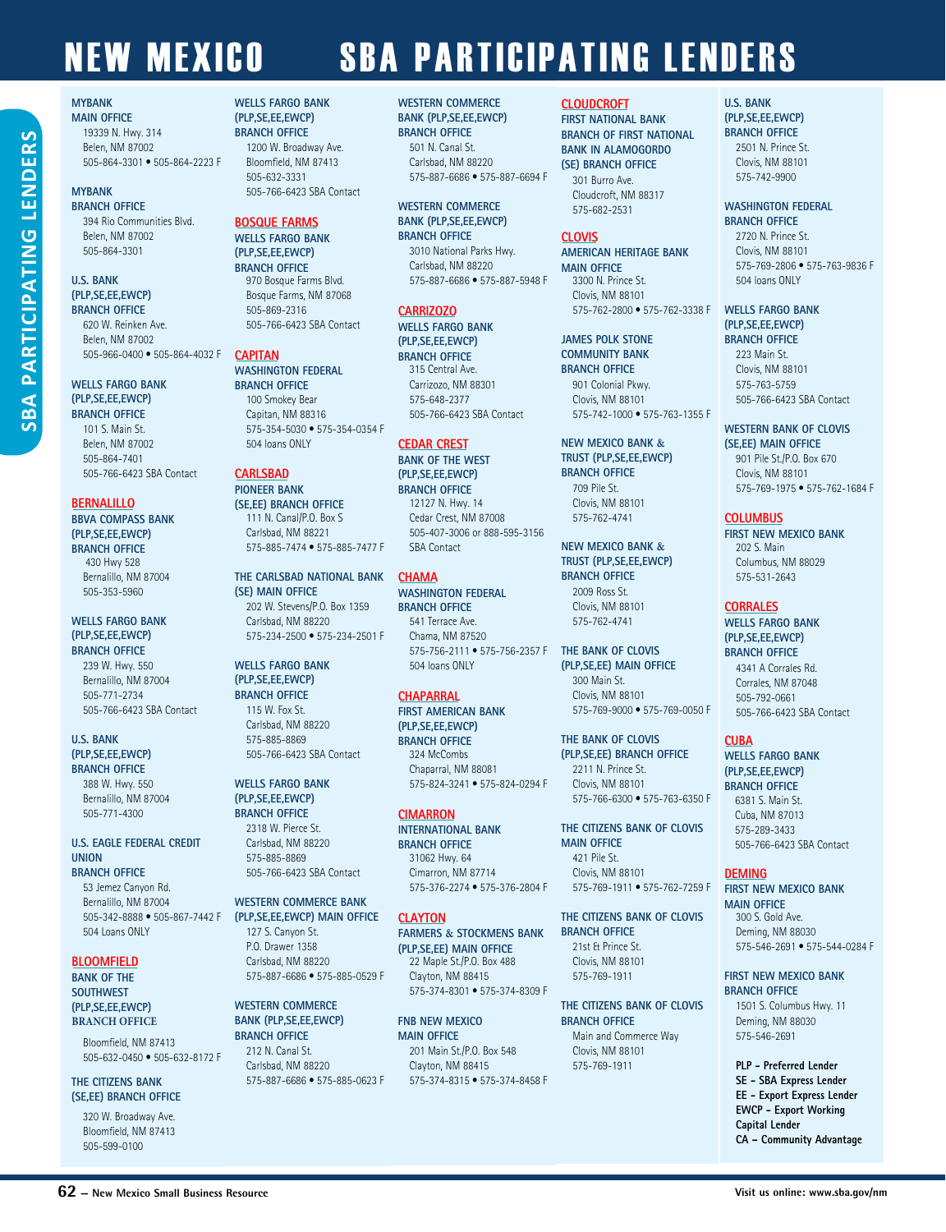#### **MYBANK MAIN OFFICE**

#### 19339 N. Hwy. 314 Belen, NM 87002 505-864-3301 • 505-864-2223 F

#### **MYBANK**

**BRANCH OFFICE** 394 Rio Communities Blvd. Belen, NM 87002 505-864-3301

#### **U.S. BANK (PLP,SE,EE,EWCP) BRANCH OFFICE**

**SBA PARTICIPATING LENDERS**

PARTICIPATING

 $BA$ 

**LENDER** 

620 W. Reinken Ave. Belen, NM 87002 505-966-0400 • 505-864-4032 F

#### **WELLS FARGO BANK (PLP,SE,EE,EWCP) BRANCH OFFICE**

101 S. Main St. Belen, NM 87002 505-864-7401 505-766-6423 SBA Contact

#### **BERNALILLO**

**BBVA COMPASS BANK (PLP,SE,EE,EWCP) BRANCH OFFICE** 430 Hwy 528 Bernalillo, NM 87004 505-353-5960

#### **WELLS FARGO BANK (PLP,SE,EE,EWCP) BRANCH OFFICE**

239 W. Hwy. 550 Bernalillo, NM 87004 505-771-2734 505-766-6423 SBA Contact

#### **U.S. BANK (PLP,SE,EE,EWCP) BRANCH OFFICE**

388 W. Hwy. 550 Bernalillo, NM 87004 505-771-4300

#### **U.S. EAGLE FEDERAL CREDIT UNION**

**BRANCH OFFICE** 

53 Jemez Canyon Rd. Bernalillo, NM 87004 505-342-8888 • 505-867-7442 F 504 Loans ONLY

#### **BLOOMFIELD**

**BANK OF THE SOUTHWEST (PLP,SE,EE,EWCP) BRANCH OFFICE**

> Bloomfield, NM 87413 505-632-0450 • 505-632-8172 F

#### **THE CITIZENS BANK (SE,EE) BRANCH OFFICE**

320 W. Broadway Ave. Bloomfield, NM 87413 505-599-0100

#### **WELLS FARGO BANK (PLP,SE,EE,EWCP) BRANCH OFFICE** 1200 W. Broadway Ave. Bloomfield, NM 87413

505-632-3331 505-766-6423 SBA Contact

#### **BOSQUE FARMS WELLS FARGO BANK (PLP,SE,EE,EWCP)**

**BRANCH OFFICE** 970 Bosque Farms Blvd. Bosque Farms, NM 87068 505-869-2316 505-766-6423 SBA Contact

#### **CAPITAN**

**WASHINGTON FEDERAL BRANCH OFFICE** 100 Smokey Bear Capitan, NM 88316 575-354-5030 • 575-354-0354 F 504 loans ONLY

#### **CARLSBAD**

**PIONEER BANK (SE,EE) BRANCH OFFICE**  111 N. Canal/P.O. Box S Carlsbad, NM 88221 575-885-7474 • 575-885-7477 F

**THE CARLSBAD NATIONAL BANK (SE) MAIN OFFICE** 202 W. Stevens/P.O. Box 1359 Carlsbad, NM 88220 575-234-2500 • 575-234-2501 F

#### **WELLS FARGO BANK (PLP,SE,EE,EWCP) BRANCH OFFICE**

115 W. Fox St. Carlsbad, NM 88220 575-885-8869 505-766-6423 SBA Contact

#### **WELLS FARGO BANK (PLP,SE,EE,EWCP) BRANCH OFFICE**

2318 W. Pierce St. Carlsbad, NM 88220 575-885-8869 505-766-6423 SBA Contact

#### **WESTERN COMMERCE BANK (PLP,SE,EE,EWCP) MAIN OFFICE**

127 S. Canyon St. P.O. Drawer 1358 Carlsbad, NM 88220 575-887-6686 • 575-885-0529 F

#### **WESTERN COMMERCE BANK (PLP,SE,EE,EWCP)**

**BRANCH OFFICE** 212 N. Canal St. Carlsbad, NM 88220 575-887-6686 • 575-885-0623 F

#### **WESTERN COMMERCE BANK (PLP,SE,EE,EWCP)**

**BRANCH OFFICE** 501 N. Canal St. Carlsbad, NM 88220 575-887-6686 • 575-887-6694 F

#### **WESTERN COMMERCE BANK (PLP,SE,EE,EWCP) BRANCH OFFICE**

3010 National Parks Hwy. Carlsbad, NM 88220 575-887-6686 • 575-887-5948 F

#### **CARRIZOZO**

**WELLS FARGO BANK (PLP,SE,EE,EWCP) BRANCH OFFICE** 315 Central Ave. Carrizozo, NM 88301 575-648-2377 505-766-6423 SBA Contact

#### **CEDAR CREST**

**BANK OF THE WEST (PLP,SE,EE,EWCP) BRANCH OFFICE** 12127 N. Hwy. 14 Cedar Crest, NM 87008 505-407-3006 or 888-595-3156 SBA Contact

#### **CHAMA**

**WASHINGTON FEDERAL BRANCH OFFICE** 541 Terrace Ave. Chama, NM 87520 575-756-2111 • 575-756-2357 F 504 loans ONLY

#### **CHAPARRAL**

**FIRST AMERICAN BANK (PLP,SE,EE,EWCP) BRANCH OFFICE** 324 McCombs Chaparral, NM 88081 575-824-3241 • 575-824-0294 F

#### **CIMARRON**

**INTERNATIONAL BANK BRANCH OFFICE**  31062 Hwy. 64 Cimarron, NM 87714 575-376-2274 • 575-376-2804 F

#### **CLAYTON**

**FARMERS & STOCKMENS BANK (PLP,SE,EE) MAIN OFFICE** 22 Maple St./P.O. Box 488 Clayton, NM 88415 575-374-8301 • 575-374-8309 F

**FNB NEW MEXICO MAIN OFFICE**  201 Main St./P.O. Box 548 Clayton, NM 88415 575-374-8315 • 575-374-8458 F

#### **CLOUDCROFT**

**FIRST NATIONAL BANK BRANCH OF FIRST NATIONAL BANK IN ALAMOGORDO (SE) BRANCH OFFICE**

301 Burro Ave. Cloudcroft, NM 88317 575-682-2531

#### **CLOVIS**

**AMERICAN HERITAGE BANK MAIN OFFICE**  3300 N. Prince St. Clovis, NM 88101

575-762-2800 • 575-762-3338 F **JAMES POLK STONE COMMUNITY BANK**

**BRANCH OFFICE**  901 Colonial Pkwy. Clovis, NM 88101 575-742-1000 • 575-763-1355 F

#### **NEW MEXICO BANK & TRUST (PLP,SE,EE,EWCP) BRANCH OFFICE**

709 Pile St. Clovis, NM 88101 575-762-4741

#### **NEW MEXICO BANK & TRUST (PLP,SE,EE,EWCP) BRANCH OFFICE**

2009 Ross St. Clovis, NM 88101 575-762-4741

#### **THE BANK OF CLOVIS (PLP,SE,EE) MAIN OFFICE**

300 Main St. Clovis, NM 88101 575-769-9000 • 575-769-0050 F

#### **THE BANK OF CLOVIS (PLP,SE,EE) BRANCH OFFICE** 2211 N. Prince St.

Clovis, NM 88101 575-766-6300 • 575-763-6350 F

**THE CITIZENS BANK OF CLOVIS MAIN OFFICE**  421 Pile St. Clovis, NM 88101 575-769-1911 • 575-762-7259 F

### **THE CITIZENS BANK OF CLOVIS**

**BRANCH OFFICE** 21st & Prince St. Clovis, NM 88101 575-769-1911

#### **THE CITIZENS BANK OF CLOVIS BRANCH OFFICE** Main and Commerce Way Clovis, NM 88101 575-769-1911

### **U.S. BANK**

**(PLP,SE,EE,EWCP) BRANCH OFFICE**

> 2501 N. Prince St. Clovis, NM 88101 575-742-9900

#### **WASHINGTON FEDERAL BRANCH OFFICE**

2720 N. Prince St. Clovis, NM 88101 575-769-2806 • 575-763-9836 F 504 loans ONLY

#### **WELLS FARGO BANK (PLP,SE,EE,EWCP) BRANCH OFFICE**

223 Main St. Clovis, NM 88101 575-763-5759 505-766-6423 SBA Contact

#### **WESTERN BANK OF CLOVIS (SE,EE) MAIN OFFICE**

901 Pile St./P.O. Box 670 Clovis, NM 88101 575-769-1975 • 575-762-1684 F

#### **COLUMBUS**

**FIRST NEW MEXICO BANK**  202 S. Main Columbus, NM 88029 575-531-2643

#### **CORRALES**

**WELLS FARGO BANK (PLP,SE,EE,EWCP) BRANCH OFFICE** 4341 A Corrales Rd. Corrales, NM 87048 505-792-0661 505-766-6423 SBA Contact

#### **CUBA**

**WELLS FARGO BANK (PLP,SE,EE,EWCP) BRANCH OFFICE** 6381 S. Main St. Cuba, NM 87013 575-289-3433 505-766-6423 SBA Contact

#### **DEMING**

**FIRST NEW MEXICO BANK MAIN OFFICE**  300 S. Gold Ave. Deming, NM 88030 575-546-2691 • 575-544-0284 F

#### **FIRST NEW MEXICO BANK BRANCH OFFICE**

1501 S. Columbus Hwy. 11 Deming, NM 88030 575-546-2691

**PLP - Preferred Lender SE - SBA Express Lender EE - Export Express Lender EWCP - Export Working Capital Lender CA – Community Advantage**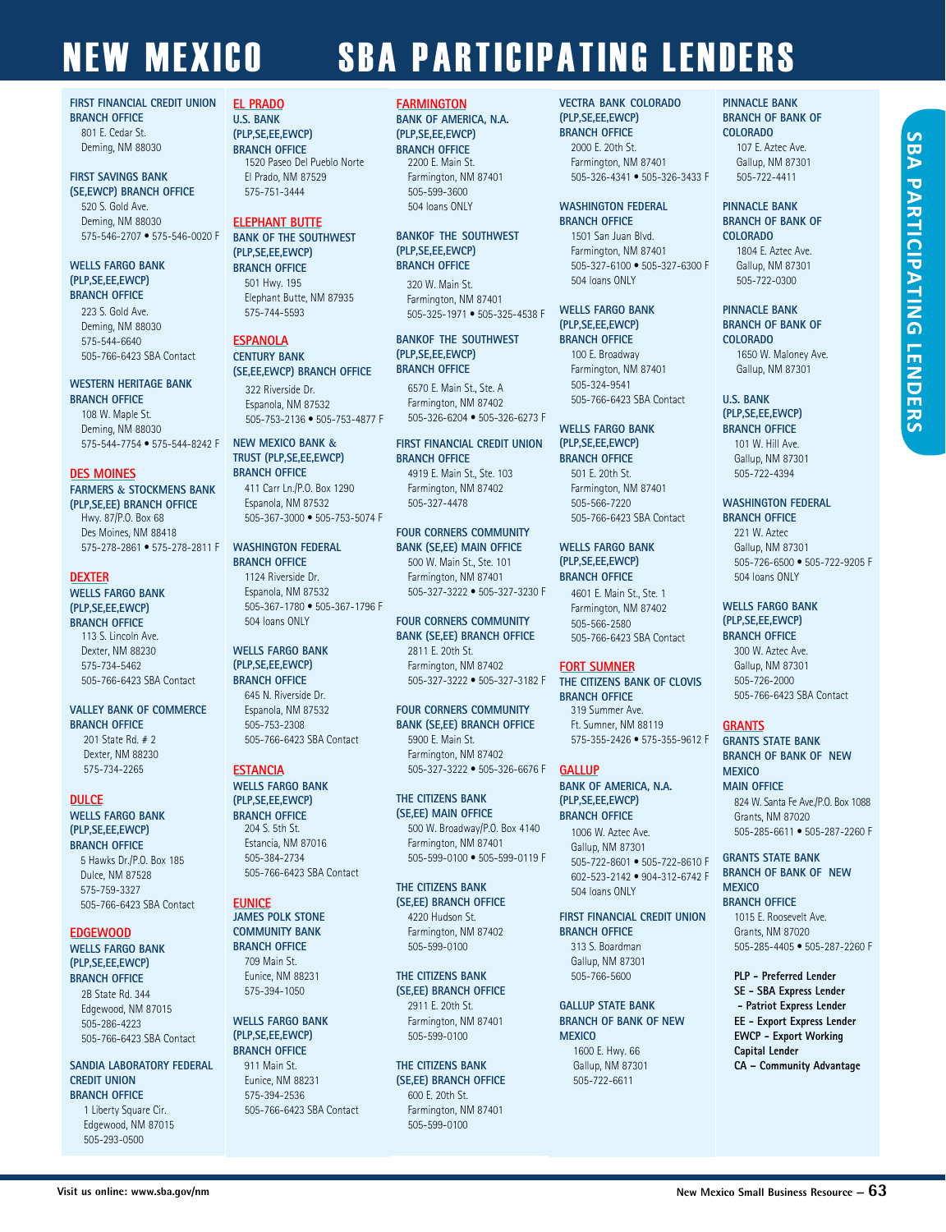#### **FIRST FINANCIAL CREDIT UNION BRANCH OFFICE**

801 E. Cedar St. Deming, NM 88030

#### **FIRST SAVINGS BANK (SE,EWCP) BRANCH OFFICE**

520 S. Gold Ave. Deming, NM 88030 575-546-2707 • 575-546-0020 F

#### **WELLS FARGO BANK (PLP,SE,EE,EWCP) BRANCH OFFICE**

223 S. Gold Ave. Deming, NM 88030 575-544-6640 505-766-6423 SBA Contact

#### **WESTERN HERITAGE BANK BRANCH OFFICE**

108 W. Maple St. Deming, NM 88030 575-544-7754 • 575-544-8242 F

#### **DES MOINES**

**FARMERS & STOCKMENS BANK (PLP,SE,EE) BRANCH OFFICE** Hwy. 87/P.O. Box 68 Des Moines, NM 88418 575-278-2861 • 575-278-2811 F

#### **DEXTER**

#### **WELLS FARGO BANK (PLP,SE,EE,EWCP) BRANCH OFFICE**

113 S. Lincoln Ave. Dexter, NM 88230 575-734-5462 505-766-6423 SBA Contact

#### **VALLEY BANK OF COMMERCE BRANCH OFFICE**

 $201$  State Rd. # 2 Dexter, NM 88230 575-734-2265

#### **DULCE**

**WELLS FARGO BANK (PLP,SE,EE,EWCP) BRANCH OFFICE** 5 Hawks Dr./P.O. Box 185

Dulce, NM 87528 575-759-3327 505-766-6423 SBA Contact

#### **EDGEWOOD WELLS FARGO BANK (PLP,SE,EE,EWCP)**

**BRANCH OFFICE** 2B State Rd. 344 Edgewood, NM 87015 505-286-4223 505-766-6423 SBA Contact

#### **SANDIA LABORATORY FEDERAL CREDIT UNION BRANCH OFFICE**

1 Liberty Square Cir. Edgewood, NM 87015 505-293-0500

#### **EL PRADO U.S. BANK**

**(PLP,SE,EE,EWCP) BRANCH OFFICE** 1520 Paseo Del Pueblo Norte El Prado, NM 87529 575-751-3444

#### **ELEPHANT BUTTE**

**BANK OF THE SOUTHWEST (PLP,SE,EE,EWCP) BRANCH OFFICE** 501 Hwy. 195 Elephant Butte, NM 87935 575-744-5593

#### **ESPANOLA**

#### **CENTURY BANK (SE,EE,EWCP) BRANCH OFFICE** 322 Riverside Dr.

Espanola, NM 87532 505-753-2136 • 505-753-4877 F

#### **NEW MEXICO BANK & TRUST (PLP,SE,EE,EWCP) BRANCH OFFICE**

411 Carr Ln./P.O. Box 1290 Espanola, NM 87532 505-367-3000 • 505-753-5074 F

#### **WASHINGTON FEDERAL BRANCH OFFICE** 1124 Riverside Dr.

Espanola, NM 87532 505-367-1780 • 505-367-1796 F 504 loans ONLY

#### **WELLS FARGO BANK (PLP,SE,EE,EWCP) BRANCH OFFICE**

645 N. Riverside Dr. Espanola, NM 87532 505-753-2308 505-766-6423 SBA Contact

#### **ESTANCIA**

#### **WELLS FARGO BANK (PLP,SE,EE,EWCP) BRANCH OFFICE**

204 S. 5th St. Estancia, NM 87016 505-384-2734 505-766-6423 SBA Contact

#### **EUNICE JAMES POLK STONE**

**COMMUNITY BANK BRANCH OFFICE**  709 Main St. Eunice, NM 88231 575-394-1050

#### **WELLS FARGO BANK (PLP,SE,EE,EWCP) BRANCH OFFICE**

911 Main St. Eunice, NM 88231 575-394-2536 505-766-6423 SBA Contact

#### **FARMINGTON**

**BANK OF AMERICA, N.A. (PLP,SE,EE,EWCP) BRANCH OFFICE** 2200 E. Main St. Farmington, NM 87401 505-599-3600 504 loans ONLY

#### **BANKOF THE SOUTHWEST (PLP,SE,EE,EWCP) BRANCH OFFICE**

320 W. Main St. Farmington, NM 87401 505-325-1971 • 505-325-4538 F

#### **BANKOF THE SOUTHWEST (PLP,SE,EE,EWCP) BRANCH OFFICE**

6570 E. Main St., Ste. A Farmington, NM 87402 505-326-6204 • 505-326-6273 F

#### **FIRST FINANCIAL CREDIT UNION BRANCH OFFICE** 4919 E. Main St., Ste. 103 Farmington, NM 87402

**FOUR CORNERS COMMUNITY** 

505-327-4478

#### **BANK (SE,EE) MAIN OFFICE** 500 W. Main St., Ste. 101 Farmington, NM 87401 505-327-3222 • 505-327-3230 F

**FOUR CORNERS COMMUNITY BANK (SE,EE) BRANCH OFFICE** 2811 E. 20th St. Farmington, NM 87402 505-327-3222 • 505-327-3182 F

**FOUR CORNERS COMMUNITY BANK (SE,EE) BRANCH OFFICE** 5900 E. Main St. Farmington, NM 87402 505-327-3222 • 505-326-6676 F

#### **THE CITIZENS BANK (SE,EE) MAIN OFFICE** 500 W. Broadway/P.O. Box 4140 Farmington, NM 87401 505-599-0100 • 505-599-0119 F

**THE CITIZENS BANK (SE,EE) BRANCH OFFICE** 4220 Hudson St. Farmington, NM 87402 505-599-0100

#### **THE CITIZENS BANK (SE,EE) BRANCH OFFICE** 2911 E. 20th St.

Farmington, NM 87401 505-599-0100

#### **THE CITIZENS BANK (SE,EE) BRANCH OFFICE** 600 E. 20th St.

Farmington, NM 87401 505-599-0100

#### **VECTRA BANK COLORADO (PLP,SE,EE,EWCP) BRANCH OFFICE** 2000 E. 20th St. Farmington, NM 87401 505-326-4341 • 505-326-3433 F

#### **WASHINGTON FEDERAL BRANCH OFFICE**

1501 San Juan Blvd. Farmington, NM 87401 505-327-6100 • 505-327-6300 F 504 loans ONLY

#### **WELLS FARGO BANK (PLP,SE,EE,EWCP) BRANCH OFFICE**

100 E. Broadway Farmington, NM 87401 505-324-9541 505-766-6423 SBA Contact

#### **WELLS FARGO BANK (PLP,SE,EE,EWCP) BRANCH OFFICE** 501 E. 20th St. Farmington, NM 87401

505-566-7220 505-766-6423 SBA Contact

#### **WELLS FARGO BANK (PLP,SE,EE,EWCP) BRANCH OFFICE**

4601 E. Main St., Ste. 1 Farmington, NM 87402 505-566-2580 505-766-6423 SBA Contact

#### **FORT SUMNER**

**THE CITIZENS BANK OF CLOVIS BRANCH OFFICE**  319 Summer Ave. Ft. Sumner, NM 88119 575-355-2426 • 575-355-9612 F

#### **GALLUP**

**BANK OF AMERICA, N.A. (PLP,SE,EE,EWCP) BRANCH OFFICE** 1006 W. Aztec Ave.

#### Gallup, NM 87301 505-722-8601 • 505-722-8610 F 602-523-2142 • 904-312-6742 F 504 loans ONLY

#### **FIRST FINANCIAL CREDIT UNION**

**BRANCH OFFICE** 313 S. Boardman Gallup, NM 87301 505-766-5600

#### **GALLUP STATE BANK BRANCH OF BANK OF NEW MEXICO**

1600 E. Hwy. 66 Gallup, NM 87301 505-722-6611

#### **PINNACLE BANK BRANCH OF BANK OF COLORADO** 107 E. Aztec Ave. Gallup, NM 87301

505-722-4411

#### **PINNACLE BANK BRANCH OF BANK OF COLORADO**

1804 E. Aztec Ave. Gallup, NM 87301 505-722-0300

#### **PINNACLE BANK BRANCH OF BANK OF COLORADO**

1650 W. Maloney Ave. Gallup, NM 87301

#### **U.S. BANK**

**(PLP,SE,EE,EWCP) BRANCH OFFICE** 101 W. Hill Ave. Gallup, NM 87301 505-722-4394

#### **WASHINGTON FEDERAL BRANCH OFFICE**

221 W. Aztec Gallup, NM 87301 505-726-6500 • 505-722-9205 F 504 loans ONLY

#### **WELLS FARGO BANK (PLP,SE,EE,EWCP) BRANCH OFFICE**

300 W. Aztec Ave. Gallup, NM 87301 505-726-2000 505-766-6423 SBA Contact

#### **GRANTS**

#### **GRANTS STATE BANK BRANCH OF BANK OF NEW MEXICO MAIN OFFICE** 824 W. Santa Fe Ave./P.O. Box 1088 Grants, NM 87020

505-285-6611 • 505-287-2260 F

#### **GRANTS STATE BANK BRANCH OF BANK OF NEW MEXICO BRANCH OFFICE**

1015 E. Roosevelt Ave. Grants, NM 87020 505-285-4405 • 505-287-2260 F

#### **PLP - Preferred Lender**

**SE - SBA Express Lender - Patriot Express Lender EE - Export Express Lender EWCP - Export Working Capital Lender CA – Community Advantage**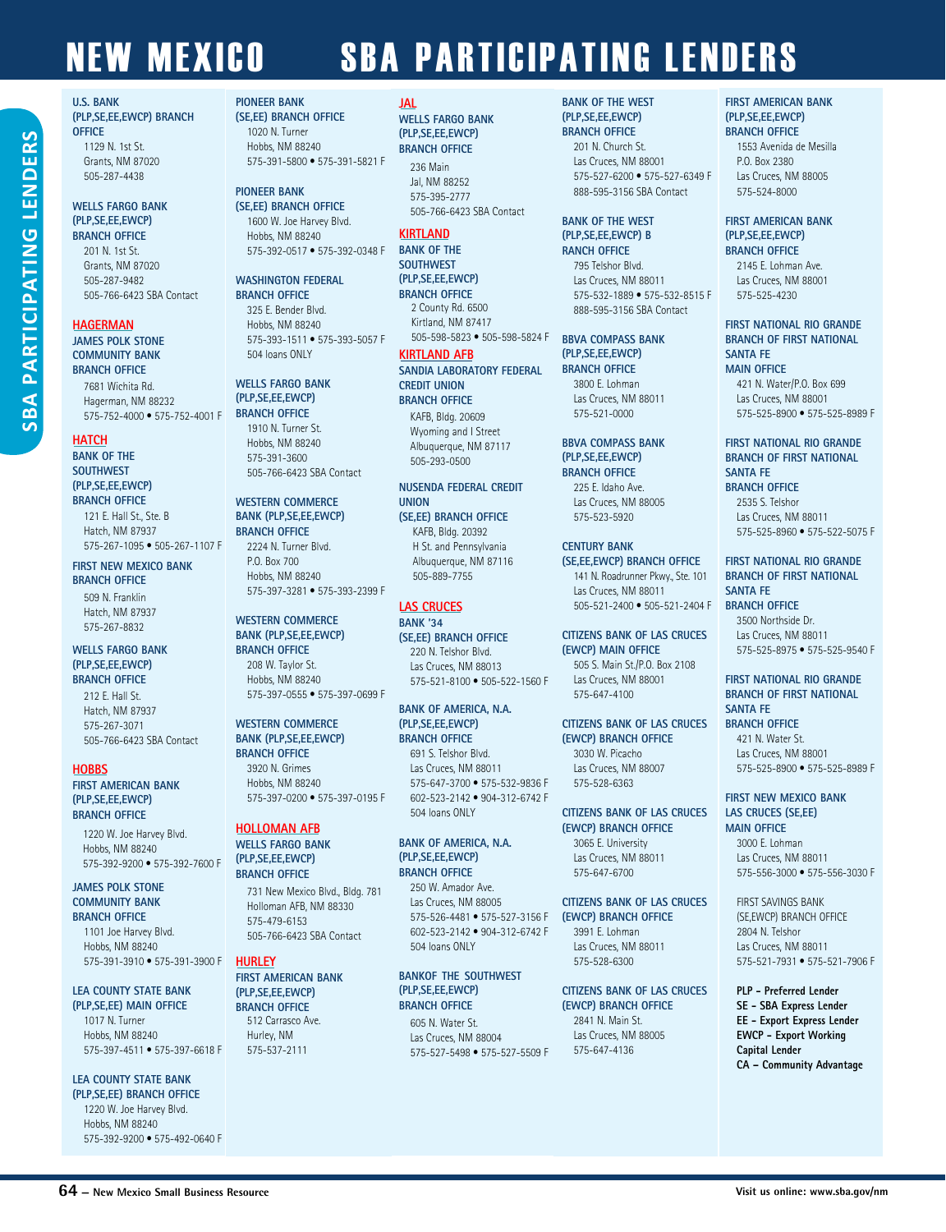#### **HAGERMAN**

201 N. 1st St. Grants, NM 87020 505-287-9482

1129 N. 1st St. Grants, NM 87020 505-287-4438

**JAMES POLK STONE COMMUNITY BANK BRANCH OFFICE** 

> 7681 Wichita Rd. Hagerman, NM 88232 575-752-4000 • 575-752-4001 F

505-766-6423 SBA Contact

#### **HATCH**

**BANK OF THE SOUTHWEST (PLP,SE,EE,EWCP) BRANCH OFFICE**

> 121 F. Hall St., Ste. B Hatch, NM 87937 575-267-1095 • 505-267-1107 F

**FIRST NEW MEXICO BANK BRANCH OFFICE** 

509 N. Franklin Hatch, NM 87937 575-267-8832

#### **WELLS FARGO BANK (PLP,SE,EE,EWCP) BRANCH OFFICE**

212 E. Hall St. Hatch, NM 87937 575-267-3071 505-766-6423 SBA Contact

#### **HOBBS**

**FIRST AMERICAN BANK (PLP,SE,EE,EWCP) BRANCH OFFICE**

1220 W. Joe Harvey Blvd. Hobbs, NM 88240 575-392-9200 • 575-392-7600 F

#### **JAMES POLK STONE COMMUNITY BANK**

**BRANCH OFFICE**  1101 Joe Harvey Blvd. Hobbs, NM 88240 575-391-3910 • 575-391-3900 F

#### **LEA COUNTY STATE BANK**

**(PLP,SE,EE) MAIN OFFICE** 1017 N. Turner Hobbs, NM 88240 575-397-4511 • 575-397-6618 F

**LEA COUNTY STATE BANK** 

**(PLP,SE,EE) BRANCH OFFICE** 1220 W. Joe Harvey Blvd. Hobbs, NM 88240 575-392-9200 • 575-492-0640 F

#### **PIONEER BANK (SE,EE) BRANCH OFFICE**

1020 N. Turner Hobbs, NM 88240 575-391-5800 • 575-391-5821 F

#### **PIONEER BANK**

**(SE,EE) BRANCH OFFICE**  1600 W. Joe Harvey Blvd. Hobbs, NM 88240 575-392-0517 • 575-392-0348 F

#### **WASHINGTON FEDERAL**

**BRANCH OFFICE**  325 E. Bender Blvd. Hobbs, NM 88240 575-393-1511 • 575-393-5057 F 504 loans ONLY

#### **WELLS FARGO BANK (PLP,SE,EE,EWCP) BRANCH OFFICE**

1910 N. Turner St. Hobbs, NM 88240 575-391-3600 505-766-6423 SBA Contact

#### **WESTERN COMMERCE BANK (PLP,SE,EE,EWCP)**

**BRANCH OFFICE** 2224 N. Turner Blvd. P.O. Box 700 Hobbs, NM 88240 575-397-3281 • 575-393-2399 F

#### **WESTERN COMMERCE BANK (PLP,SE,EE,EWCP)**

**BRANCH OFFICE** 208 W. Taylor St. Hobbs, NM 88240 575-397-0555 • 575-397-0699 F

#### **WESTERN COMMERCE BANK (PLP,SE,EE,EWCP) BRANCH OFFICE**

3920 N. Grimes Hobbs, NM 88240 575-397-0200 • 575-397-0195 F

#### **HOLLOMAN AFB**

**WELLS FARGO BANK (PLP,SE,EE,EWCP) BRANCH OFFICE**

> 731 New Mexico Blvd., Bldg. 781 Holloman AFB, NM 88330 575-479-6153 505-766-6423 SBA Contact

#### **HURLEY**

#### **FIRST AMERICAN BANK (PLP,SE,EE,EWCP) BRANCH OFFICE**  512 Carrasco Ave.

Hurley, NM 575-537-2111

#### **JAL**

**WELLS FARGO BANK (PLP,SE,EE,EWCP) BRANCH OFFICE** 236 Main

#### Jal, NM 88252 575-395-2777 505-766-6423 SBA Contact

#### **KIRTLAND**

**BANK OF THE SOUTHWEST (PLP,SE,EE,EWCP) BRANCH OFFICE** 2 County Rd. 6500 Kirtland, NM 87417 505-598-5823 • 505-598-5824 F

#### **KIRTLAND AFB**

**SANDIA LABORATORY FEDERAL CREDIT UNION BRANCH OFFICE**

KAFB, Bldg. 20609 Wyoming and I Street Albuquerque, NM 87117 505-293-0500

#### **NUSENDA FEDERAL CREDIT UNION**

**(SE,EE) BRANCH OFFICE** KAFR RIdg. 20392 H St. and Pennsylvania Albuquerque, NM 87116 505-889-7755

#### **LAS CRUCES BANK '34**

**(SE,EE) BRANCH OFFICE** 220 N. Telshor Blvd. Las Cruces, NM 88013 575-521-8100 • 505-522-1560 F

#### **BANK OF AMERICA, N.A. (PLP,SE,EE,EWCP) BRANCH OFFICE**

691 S. Telshor Blvd. Las Cruces, NM 88011 575-647-3700 • 575-532-9836 F 602-523-2142 • 904-312-6742 F 504 loans ONLY

#### **BANK OF AMERICA, N.A. (PLP,SE,EE,EWCP) BRANCH OFFICE**

250 W. Amador Ave. Las Cruces, NM 88005 575-526-4481 • 575-527-3156 F 602-523-2142 • 904-312-6742 F 504 loans ONLY

#### **BANKOF THE SOUTHWEST (PLP,SE,EE,EWCP) BRANCH OFFICE**

605 N. Water St. Las Cruces, NM 88004 575-527-5498 • 575-527-5509 F

#### **BANK OF THE WEST (PLP,SE,EE,EWCP)**

**BRANCH OFFICE** 201 N. Church St. Las Cruces, NM 88001 575-527-6200 • 575-527-6349 F 888-595-3156 SBA Contact

#### **BANK OF THE WEST (PLP,SE,EE,EWCP) B RANCH OFFICE**

795 Telshor Blvd. Las Cruces, NM 88011 575-532-1889 • 575-532-8515 F 888-595-3156 SBA Contact

#### **BBVA COMPASS BANK (PLP,SE,EE,EWCP) BRANCH OFFICE**

3800 E. Lohman Las Cruces, NM 88011 575-521-0000

#### **BBVA COMPASS BANK (PLP,SE,EE,EWCP) BRANCH OFFICE**

225 E. Idaho Ave. Las Cruces, NM 88005 575-523-5920

#### **CENTURY BANK**

**(SE,EE,EWCP) BRANCH OFFICE** 141 N. Roadrunner Pkwy., Ste. 101 Las Cruces, NM 88011 505-521-2400 • 505-521-2404 F

#### **CITIZENS BANK OF LAS CRUCES (EWCP) MAIN OFFICE**

505 S. Main St./P.O. Box 2108 Las Cruces, NM 88001 575-647-4100

#### **CITIZENS BANK OF LAS CRUCES**

**(EWCP) BRANCH OFFICE** 3030 W. Picacho Las Cruces, NM 88007 575-528-6363

### **CITIZENS BANK OF LAS CRUCES**

### **(EWCP) BRANCH OFFICE**

3991 E. Lohman Las Cruces, NM 88011 575-528-6300

#### **CITIZENS BANK OF LAS CRUCES (EWCP) BRANCH OFFICE** 2841 N. Main St. Las Cruces, NM 88005 575-647-4136

**FIRST AMERICAN BANK (PLP,SE,EE,EWCP) BRANCH OFFICE**

1553 Avenida de Mesilla P.O. Box 2380 Las Cruces, NM 88005 575-524-8000

#### **FIRST AMERICAN BANK (PLP,SE,EE,EWCP) BRANCH OFFICE**

2145 E. Lohman Ave. Las Cruces, NM 88001 575-525-4230

**FIRST NATIONAL RIO GRANDE BRANCH OF FIRST NATIONAL SANTA FE MAIN OFFICE** 421 N. Water/P.O. Box 699 Las Cruces, NM 88001

575-525-8900 • 575-525-8989 F **FIRST NATIONAL RIO GRANDE BRANCH OF FIRST NATIONAL**

#### **SANTA FE BRANCH OFFICE** 2535 S. Telshor

Las Cruces, NM 88011 575-525-8960 • 575-522-5075 F

#### **FIRST NATIONAL RIO GRANDE**

**BRANCH OF FIRST NATIONAL SANTA FE BRANCH OFFICE** 3500 Northside Dr. Las Cruces, NM 88011 575-525-8975 • 575-525-9540 F

#### **FIRST NATIONAL RIO GRANDE BRANCH OF FIRST NATIONAL SANTA FE BRANCH OFFICE**

421 N. Water St. Las Cruces, NM 88001 575-525-8900 • 575-525-8989 F

#### **FIRST NEW MEXICO BANK LAS CRUCES (SE,EE) MAIN OFFICE**

3000 E. Lohman Las Cruces, NM 88011 575-556-3000 • 575-556-3030 F

FIRST SAVINGS BANK (SE,EWCP) BRANCH OFFICE 2804 N. Telshor Las Cruces, NM 88011 575-521-7931 • 575-521-7906 F

#### **PLP - Preferred Lender SE - SBA Express Lender EE - Export Express Lender EWCP - Export Working Capital Lender CA – Community Advantage**

### **(EWCP) BRANCH OFFICE** 3065 E. University 575-647-6700

Las Cruces, NM 88011

### **CITIZENS BANK OF LAS CRUCES**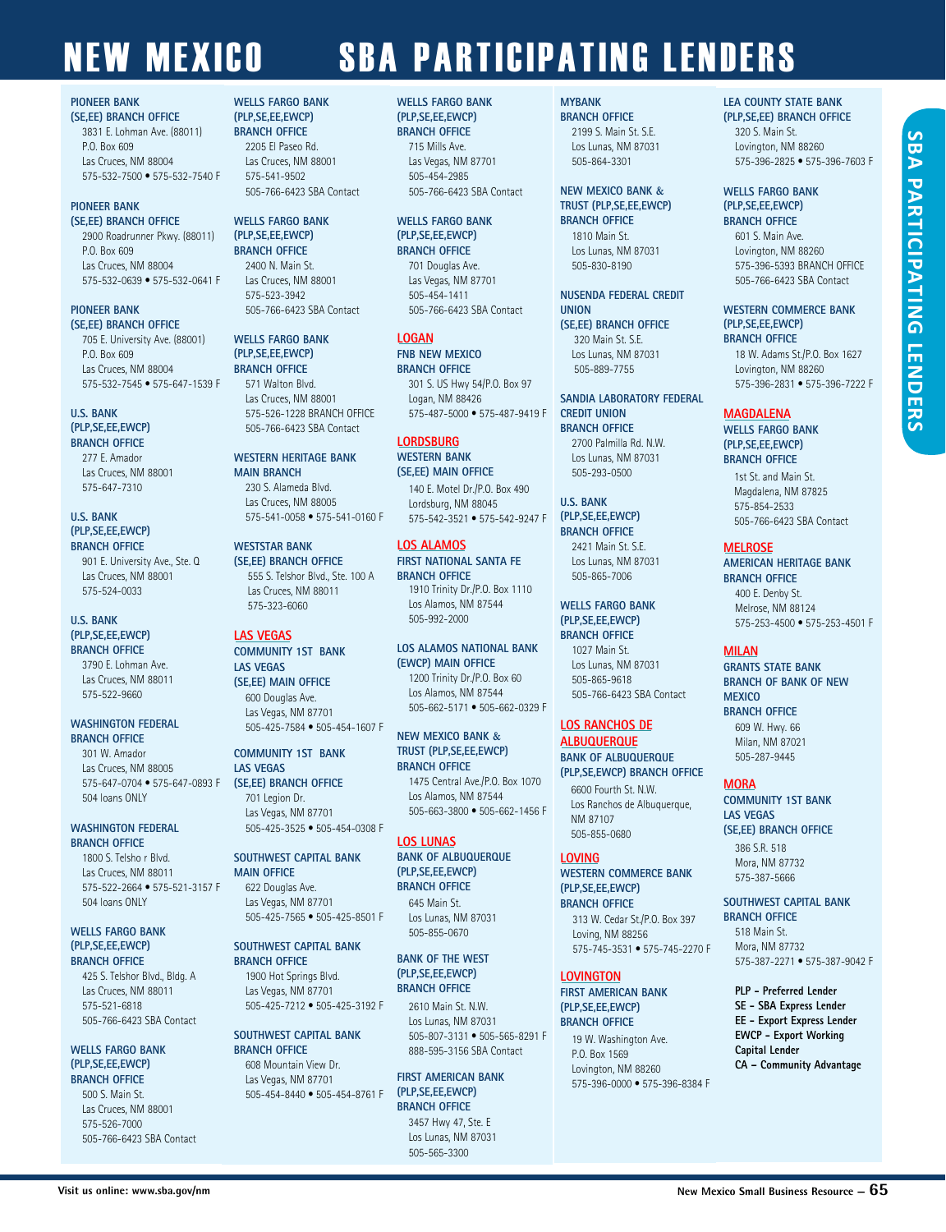#### **PIONEER BANK**

**(SE,EE) BRANCH OFFICE**  3831 E. Lohman Ave. (88011) P.O. Box 609 Las Cruces, NM 88004 575-532-7500 • 575-532-7540 F

#### **PIONEER BANK**

**(SE,EE) BRANCH OFFICE**  2900 Roadrunner Pkwy. (88011) P.O. Box 609 Las Cruces, NM 88004 575-532-0639 • 575-532-0641 F

#### **PIONEER BANK (SE,EE) BRANCH OFFICE**

705 E. University Ave. (88001) P.O. Box 609 Las Cruces, NM 88004 575-532-7545 • 575-647-1539 F

#### **U.S. BANK**

**(PLP,SE,EE,EWCP) BRANCH OFFICE** 277 E. Amador Las Cruces, NM 88001

575-647-7310

#### **U.S. BANK (PLP,SE,EE,EWCP) BRANCH OFFICE**

901 E. University Ave., Ste. Q Las Cruces, NM 88001 575-524-0033

#### **U.S. BANK (PLP,SE,EE,EWCP) BRANCH OFFICE**

3790 E. Lohman Ave. Las Cruces, NM 88011 575-522-9660

#### **WASHINGTON FEDERAL BRANCH OFFICE**

301 W. Amador Las Cruces, NM 88005 575-647-0704 • 575-647-0893 F 504 loans ONLY

#### **WASHINGTON FEDERAL BRANCH OFFICE**

1800 S. Telsho r Blvd. Las Cruces, NM 88011 575-522-2664 • 575-521-3157 F 504 loans ONLY

#### **WELLS FARGO BANK (PLP,SE,EE,EWCP) BRANCH OFFICE**

425 S. Telshor Blvd., Bldg. A Las Cruces, NM 88011 575-521-6818 505-766-6423 SBA Contact

#### **WELLS FARGO BANK (PLP,SE,EE,EWCP) BRANCH OFFICE**

500 S. Main St. Las Cruces, NM 88001 575-526-7000 505-766-6423 SBA Contact

#### **WELLS FARGO BANK (DLD CE EE EWCP)**

**BRANCH OFFICE** 2205 El Paseo Rd. Las Cruces, NM 88001 575-541-9502 505-766-6423 SBA Contact

#### **WELLS FARGO BANK (PLP,SE,EE,EWCP) BRANCH OFFICE** 2400 N. Main St.

Las Cruces, NM 88001 575-523-3942 505-766-6423 SBA Contact

#### **WELLS FARGO BANK (PLP,SE,EE,EWCP) BRANCH OFFICE** 571 Walton Blvd. Las Cruces, NM 88001 575-526-1228 BRANCH OFFICE 505-766-6423 SBA Contact

**WESTERN HERITAGE BANK MAIN BRANCH**  230 S. Alameda Blvd. Las Cruces, NM 88005 575-541-0058 • 575-541-0160 F

**WESTSTAR BANK (SE,EE) BRANCH OFFICE** 555 S. Telshor Blvd., Ste. 100 A Las Cruces, NM 88011 575-323-6060

#### **LAS VEGAS**

**COMMUNITY 1ST BANK LAS VEGAS (SE,EE) MAIN OFFICE** 600 Douglas Ave. Las Vegas, NM 87701 505-425-7584 • 505-454-1607 F

#### **COMMUNITY 1ST BANK LAS VEGAS (SE,EE) BRANCH OFFICE** 701 Legion Dr. Las Vegas, NM 87701

505-425-3525 • 505-454-0308 F

**SOUTHWEST CAPITAL BANK MAIN OFFICE** 622 Douglas Ave. Las Vegas, NM 87701 505-425-7565 • 505-425-8501 F

#### **SOUTHWEST CAPITAL BANK BRANCH OFFICE** 1900 Hot Springs Blvd. Las Vegas, NM 87701 505-425-7212 • 505-425-3192 F

**SOUTHWEST CAPITAL BANK BRANCH OFFICE** 608 Mountain View Dr.

Las Vegas, NM 87701 505-454-8440 • 505-454-8761 F

#### **WELLS FARGO BANK (DLD CE EE EWCP)**

**BRANCH OFFICE** 715 Mills Ave. Las Vegas, NM 87701 505-454-2985 505-766-6423 SBA Contact

**WELLS FARGO BANK (PLP,SE,EE,EWCP) BRANCH OFFICE** 701 Douglas Ave. Las Vegas, NM 87701 505-454-1411 505-766-6423 SBA Contact

**LOGAN FNB NEW MEXICO BRANCH OFFICE** 301 S. US Hwy 54/P.O. Box 97 Logan, NM 88426 575-487-5000 • 575-487-9419 F

#### **LORDSBURG**

**WESTERN BANK (SE,EE) MAIN OFFICE** 140 E. Motel Dr./P.O. Box 490 Lordsburg, NM 88045 575-542-3521 • 575-542-9247 F

#### **LOS ALAMOS**

**FIRST NATIONAL SANTA FE BRANCH OFFICE** 1910 Trinity Dr./P.O. Box 1110 Los Alamos, NM 87544 505-992-2000

#### **LOS ALAMOS NATIONAL BANK (EWCP) MAIN OFFICE** 1200 Trinity Dr./P.O. Box 60 Los Alamos, NM 87544 505-662-5171 • 505-662-0329 F

**NEW MEXICO BANK & TRUST (PLP,SE,EE,EWCP) BRANCH OFFICE** 1475 Central Ave./P.O. Box 1070

Los Alamos, NM 87544 505-663-3800 • 505-662-1456 F

#### **LOS LUNAS**

**BANK OF ALBUQUERQUE (PLP,SE,EE,EWCP) BRANCH OFFICE** 645 Main St. Los Lunas, NM 87031 505-855-0670

**BANK OF THE WEST (PLP,SE,EE,EWCP) BRANCH OFFICE**

2610 Main St. N.W. Los Lunas, NM 87031 505-807-3131 • 505-565-8291 F 888-595-3156 SBA Contact

#### **FIRST AMERICAN BANK (PLP,SE,EE,EWCP) BRANCH OFFICE**  3457 Hwy 47, Ste. E Los Lunas, NM 87031

505-565-3300

**MYBANK** 

**BRANCH OFFICE** 2199 S. Main St. S.E. Los Lunas, NM 87031 505-864-3301

#### **NEW MEXICO BANK & TRUST (PLP,SE,EE,EWCP) BRANCH OFFICE**

1810 Main St. Los Lunas, NM 87031 505-830-8190

**NUSENDA FEDERAL CREDIT UNION (SE,EE) BRANCH OFFICE**

320 Main St. S.E. Los Lunas, NM 87031 505-889-7755

**SANDIA LABORATORY FEDERAL CREDIT UNION BRANCH OFFICE**  2700 Palmilla Rd. N.W. Los Lunas, NM 87031

**U.S. BANK (PLP,SE,EE,EWCP) BRANCH OFFICE** 2421 Main St. S.E. Los Lunas, NM 87031 505-865-7006

505-293-0500

**WELLS FARGO BANK (PLP,SE,EE,EWCP)** 

**BRANCH OFFICE** 1027 Main St. Los Lunas, NM 87031 505-865-9618 505-766-6423 SBA Contact

#### **LOS RANCHOS DE**

**ALBUQUERQUE BANK OF ALBUQUERQUE** 

**(PLP,SE,EWCP) BRANCH OFFICE** 6600 Fourth St. N.W.

Los Ranchos de Albuquerque, NM 87107 505-855-0680

#### **LOVING**

**WESTERN COMMERCE BANK (PLP,SE,EE,EWCP) BRANCH OFFICE**

313 W. Cedar St./P.O. Box 397 Loving, NM 88256 575-745-3531 • 575-745-2270 F

#### **LOVINGTON**

**FIRST AMERICAN BANK (PLP,SE,EE,EWCP) BRANCH OFFICE** 

> 19 W. Washington Ave. P.O. Box 1569 Lovington, NM 88260 575-396-0000 • 575-396-8384 F

#### **LEA COUNTY STATE BANK**

**(PLP,SE,EE) BRANCH OFFICE** 320 S. Main St. Lovington, NM 88260 575-396-2825 • 575-396-7603 F

#### **WELLS FARGO BANK (PLP,SE,EE,EWCP)**

**BRANCH OFFICE** 601 S. Main Ave. Lovington, NM 88260 575-396-5393 BRANCH OFFICE 505-766-6423 SBA Contact

**WESTERN COMMERCE BANK (PLP,SE,EE,EWCP) BRANCH OFFICE**

18 W. Adams St./P.O. Box 1627 Lovington, NM 88260 575-396-2831 • 575-396-7222 F

### **MAGDALENA**

**WELLS FARGO BANK (PLP,SE,EE,EWCP) BRANCH OFFICE**

1st St. and Main St. Magdalena, NM 87825 575-854-2533 505-766-6423 SBA Contact

#### **MELROSE**

**AMERICAN HERITAGE BANK BRANCH OFFICE**  400 E. Denby St. Melrose, NM 88124 575-253-4500 • 575-253-4501 F

#### **MILAN**

**GRANTS STATE BANK BRANCH OF BANK OF NEW MEXICO BRANCH OFFICE**  609 W. Hwy. 66 Milan, NM 87021 505-287-9445

#### **MORA**

**COMMUNITY 1ST BANK LAS VEGAS (SE,EE) BRANCH OFFICE** 386 S.R. 518 Mora, NM 87732 575-387-5666

#### **SOUTHWEST CAPITAL BANK BRANCH OFFICE**

518 Main St. Mora, NM 87732 575-387-2271 • 575-387-9042 F

**PLP - Preferred Lender SE - SBA Express Lender EE - Export Express Lender EWCP - Export Working Capital Lender CA – Community Advantage**

# **SBA SBA PARTICIPATING LENDERSPARTICIPATING LENDERS**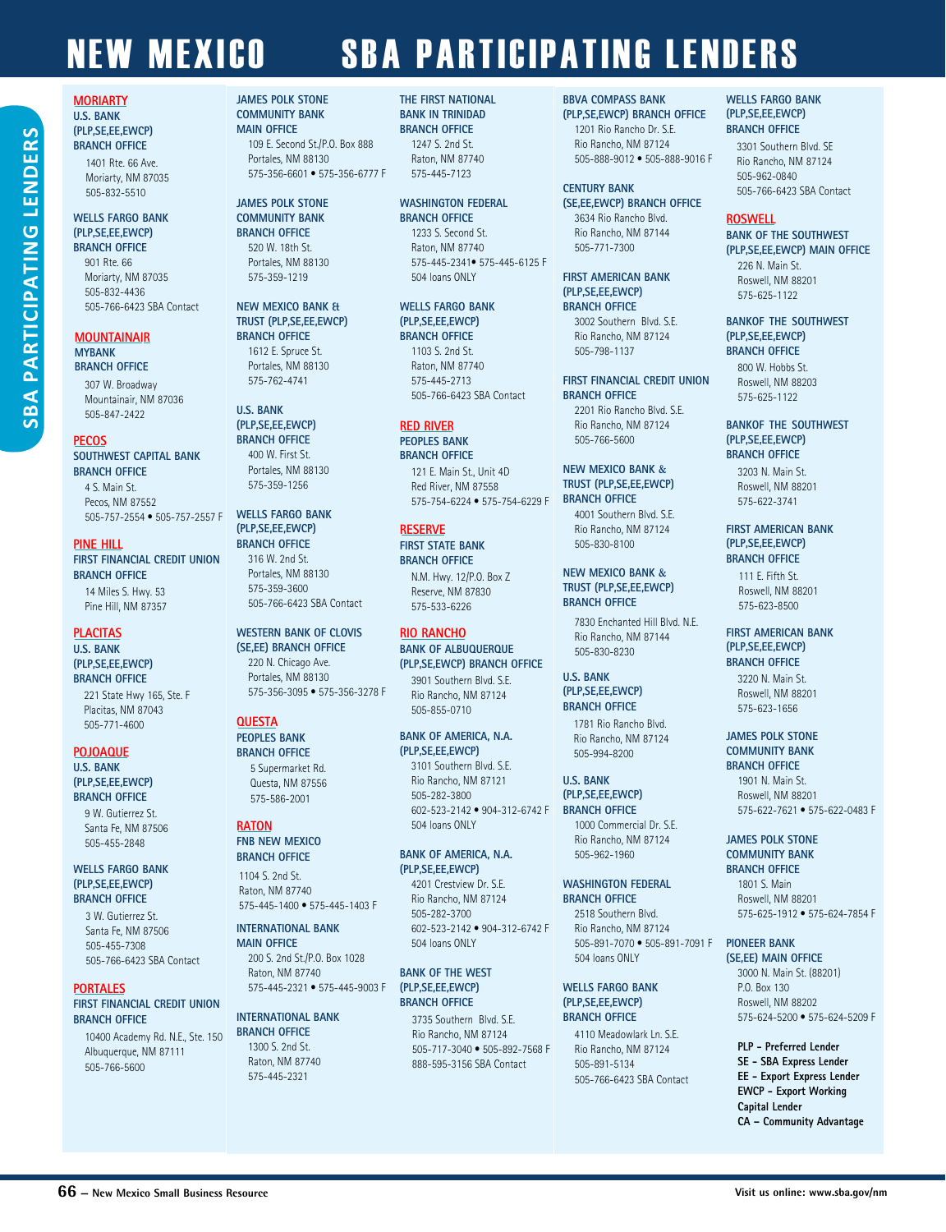#### **MORIARTY U.S. BANK (PLP,SE,EE,EWCP) BRANCH OFFICE** 1401 Rte. 66 Ave. Moriarty, NM 87035 505-832-5510

#### **WELLS FARGO BANK (PLP,SE,EE,EWCP) BRANCH OFFICE**

901 Rte. 66 Moriarty, NM 87035 505-832-4436 505-766-6423 SBA Contact

#### **MOUNTAINAIR MYBANK BRANCH OFFICE**

307 W. Broadway Mountainair, NM 87036 505-847-2422

#### **PECOS**

**SBA PARTICIPATING LENDERSPARTICIPATING LENDER** 

SBA<sub>I</sub>

#### **SOUTHWEST CAPITAL BANK BRANCH OFFICE**

4 S. Main St. Pecos, NM 87552 505-757-2554 • 505-757-2557 F

#### **PINE HILL**

**FIRST FINANCIAL CREDIT UNION BRANCH OFFICE**  14 Miles S. Hwy. 53 Pine Hill, NM 87357

#### **PLACITAS**

#### **U.S. BANK (PLP,SE,EE,EWCP) BRANCH OFFICE** 221 State Hwy 165, Ste. F Placitas, NM 87043

505-771-4600

#### **POJOAQUE U.S. BANK (PLP,SE,EE,EWCP) BRANCH OFFICE**

9 W. Gutierrez St. Santa Fe, NM 87506 505-455-2848

#### **WELLS FARGO BANK (PLP,SE,EE,EWCP) BRANCH OFFICE**

3 W. Gutierrez St. Santa Fe, NM 87506 505-455-7308 505-766-6423 SBA Contact

#### **PORTALES**

#### **FIRST FINANCIAL CREDIT UNION BRANCH OFFICE**

10400 Academy Rd. N.E., Ste. 150 Albuquerque, NM 87111 505-766-5600

#### **JAMES POLK STONE COMMUNITY BANK MAIN OFFICE**  109 E. Second St./P.O. Box 888 Portales, NM 88130 575-356-6601 • 575-356-6777 F

#### **JAMES POLK STONE COMMUNITY BANK**

**BRANCH OFFICE** 520 W. 18th St. Portales, NM 88130 575-359-1219

#### **NEW MEXICO BANK & TRUST (PLP,SE,EE,EWCP) BRANCH OFFICE** 1612 E. Spruce St.

Portales, NM 88130 575-762-4741

#### **U.S. BANK (PLP,SE,EE,EWCP) BRANCH OFFICE**

400 W. First St. Portales, NM 88130 575-359-1256

#### **WELLS FARGO BANK (PLP,SE,EE,EWCP) BRANCH OFFICE** 316 W. 2nd St.

Portales, NM 88130 575-359-3600 505-766-6423 SBA Contact

#### **WESTERN BANK OF CLOVIS (SE,EE) BRANCH OFFICE** 220 N. Chicago Ave. Portales, NM 88130

575-356-3095 • 575-356-3278 F

#### **QUESTA**

#### **PEOPLES BANK BRANCH OFFICE** 5 Supermarket Rd. Questa, NM 87556

575-586-2001

#### **RATON**

**FNB NEW MEXICO BRANCH OFFICE**

#### 1104 S. 2nd St. Raton, NM 87740 575-445-1400 • 575-445-1403 F

#### **INTERNATIONAL BANK MAIN OFFICE**

200 S. 2nd St./P.O. Box 1028 Raton, NM 87740 575-445-2321 • 575-445-9003 F

#### **INTERNATIONAL BANK BRANCH OFFICE**

1300 S. 2nd St. Raton, NM 87740 575-445-2321

#### **THE FIRST NATIONAL BANK IN TRINIDAD BRANCH OFFICE**

1247 S. 2nd St. Raton, NM 87740 575-445-7123

#### **WASHINGTON FEDERAL BRANCH OFFICE**

1233 S. Second St. Raton, NM 87740 575-445-2341• 575-445-6125 F 504 loans ONLY

#### **WELLS FARGO BANK (PLP,SE,EE,EWCP)**

**BRANCH OFFICE** 1103 S. 2nd St. Raton, NM 87740 575-445-2713 505-766-6423 SBA Contact

#### **RED RIVER**

**PEOPLES BANK BRANCH OFFICE**

121 E. Main St., Unit 4D Red River, NM 87558 575-754-6224 • 575-754-6229 F

#### **RESERVE**

**FIRST STATE BANK BRANCH OFFICE** N.M. Hwy. 12/P.O. Box Z

Reserve, NM 87830 575-533-6226

#### **RIO RANCHO**

#### **BANK OF ALBUQUERQUE (PLP,SE,EWCP) BRANCH OFFICE**

3901 Southern Blvd. S.E. Rio Rancho, NM 87124 505-855-0710

#### **BANK OF AMERICA, N.A. (PLP,SE,EE,EWCP)** 3101 Southern Blvd. S.E. Rio Rancho, NM 87121 505-282-3800 602-523-2142 • 904-312-6742 F

#### **BANK OF AMERICA, N.A. (PLP,SE,EE,EWCP)**

504 loans ONLY

4201 Crestview Dr. S.E. Rio Rancho, NM 87124 505-282-3700 602-523-2142 • 904-312-6742 F 504 loans ONLY

#### **BANK OF THE WEST (PLP,SE,EE,EWCP) BRANCH OFFICE**

3735 Southern Blvd. S.E. Rio Rancho, NM 87124 505-717-3040 • 505-892-7568 F 888-595-3156 SBA Contact

#### **BBVA COMPASS BANK**

**(PLP,SE,EWCP) BRANCH OFFICE** 1201 Rio Rancho Dr. S.E. Rio Rancho, NM 87124 505-888-9012 • 505-888-9016 F

#### **CENTURY BANK**

**(SE,EE,EWCP) BRANCH OFFICE** 3634 Rio Rancho Blvd. Rio Rancho, NM 87144 505-771-7300

#### **FIRST AMERICAN BANK (PLP,SE,EE,EWCP) BRANCH OFFICE** 3002 Southern Blvd. S.E. Rio Rancho, NM 87124

505-798-1137

**FIRST FINANCIAL CREDIT UNION BRANCH OFFICE** 2201 Rio Rancho Blvd. S.E. Rio Rancho, NM 87124 505-766-5600

#### **NEW MEXICO BANK & TRUST (PLP,SE,EE,EWCP) BRANCH OFFICE** 4001 Southern Blvd. S.E. Rio Rancho, NM 87124

505-830-8100 **NEW MEXICO BANK &**

#### **TRUST (PLP,SE,EE,EWCP) BRANCH OFFICE**

7830 Enchanted Hill Blvd. N.E. Rio Rancho, NM 87144 505-830-8230

#### **U.S. BANK (PLP,SE,EE,EWCP) BRANCH OFFICE**

1781 Rio Rancho Blvd. Rio Rancho, NM 87124 505-994-8200

#### **U.S. BANK (PLP,SE,EE,EWCP)**

**BRANCH OFFICE** 1000 Commercial Dr. S.E. Rio Rancho, NM 87124 505-962-1960

#### **WASHINGTON FEDERAL BRANCH OFFICE** 2518 Southern Blvd.

Rio Rancho, NM 87124 505-891-7070 • 505-891-7091 F 504 loans ONLY

#### **WELLS FARGO BANK (PLP,SE,EE,EWCP) BRANCH OFFICE**

4110 Meadowlark Ln. S.E. Rio Rancho, NM 87124 505-891-5134 505-766-6423 SBA Contact

#### **WELLS FARGO BANK (PLP,SE,EE,EWCP) BRANCH OFFICE**

3301 Southern Blvd. SE Rio Rancho, NM 87124 505-962-0840 505-766-6423 SBA Contact

#### **ROSWELL**

**BANK OF THE SOUTHWEST (PLP,SE,EE,EWCP) MAIN OFFICE**

#### 226 N. Main St. Roswell, NM 88201 575-625-1122

**BANKOF THE SOUTHWEST (PLP,SE,EE,EWCP) BRANCH OFFICE** 800 W. Hobbs St.

Roswell, NM 88203 575-625-1122

#### **BANKOF THE SOUTHWEST (PLP,SE,EE,EWCP) BRANCH OFFICE**

3203 N. Main St. Roswell, NM 88201 575-622-3741

#### **FIRST AMERICAN BANK (PLP,SE,EE,EWCP) BRANCH OFFICE**

111 E. Fifth St. Roswell, NM 88201 575-623-8500

#### **FIRST AMERICAN BANK (PLP,SE,EE,EWCP) BRANCH OFFICE**

3220 N. Main St. Roswell, NM 88201 575-623-1656

#### **JAMES POLK STONE COMMUNITY BANK**

**BRANCH OFFICE** 1901 N. Main St. Roswell, NM 88201 575-622-7621 • 575-622-0483 F

#### **JAMES POLK STONE COMMUNITY BANK**

**BRANCH OFFICE** 1801 S. Main Roswell, NM 88201 575-625-1912 • 575-624-7854 F

#### **PIONEER BANK**

**(SE,EE) MAIN OFFICE**  3000 N. Main St. (88201) P.O. Box 130 Roswell, NM 88202 575-624-5200 • 575-624-5209 F

**PLP - Preferred Lender SE - SBA Express Lender EE - Export Express Lender EWCP - Export Working Capital Lender**

**CA – Community Advantage**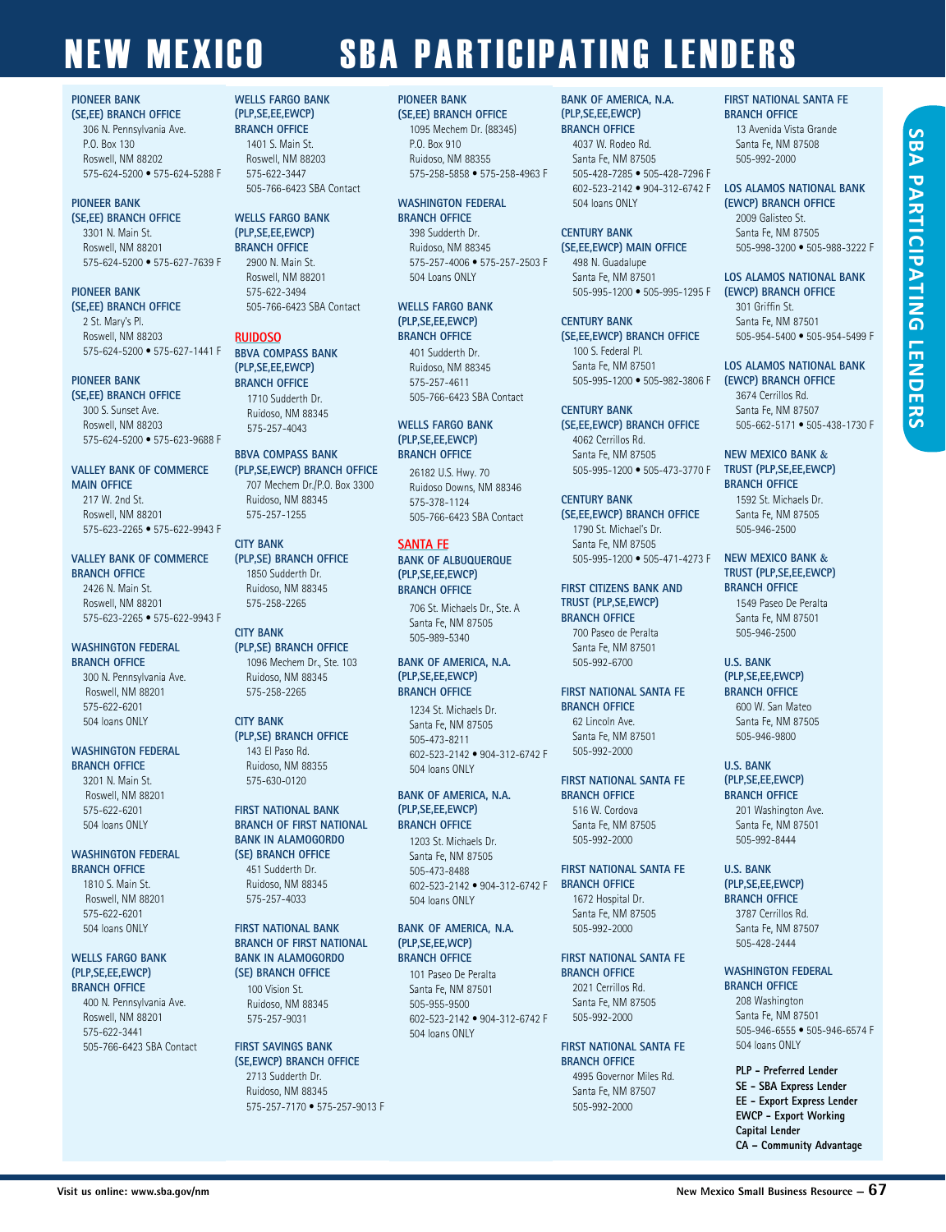#### **PIONEER BANK**

**(SE,EE) BRANCH OFFICE**  306 N. Pennsylvania Ave. P.O. Box 130 Roswell, NM 88202 575-624-5200 • 575-624-5288 F

#### **PIONEER BANK**

**(SE,EE) BRANCH OFFICE**  3301 N. Main St. Roswell, NM 88201 575-624-5200 • 575-627-7639 F

#### **PIONEER BANK**

**(SE,EE) BRANCH OFFICE**  2 St. Mary's Pl. Roswell, NM 88203 575-624-5200 • 575-627-1441 F

#### **PIONEER BANK (SE,EE) BRANCH OFFICE**

300 S. Sunset Ave. Roswell, NM 88203 575-624-5200 • 575-623-9688 F

#### **VALLEY BANK OF COMMERCE MAIN OFFICE**

217 W. 2nd St. Roswell, NM 88201 575-623-2265 • 575-622-9943 F

#### **VALLEY BANK OF COMMERCE BRANCH OFFICE**

2426 N. Main St. Roswell, NM 88201 575-623-2265 • 575-622-9943 F

#### **WASHINGTON FEDERAL BRANCH OFFICE**

300 N. Pennsylvania Ave. Roswell, NM 88201 575-622-6201 504 loans ONLY

#### **WASHINGTON FEDERAL BRANCH OFFICE**

3201 N. Main St. Roswell, NM 88201 575-622-6201 504 loans ONLY

#### **WASHINGTON FEDERAL BRANCH OFFICE**

1810 S. Main St. Roswell, NM 88201 575-622-6201 504 loans ONLY

#### **WELLS FARGO BANK (PLP,SE,EE,EWCP) BRANCH OFFICE**

400 N. Pennsylvania Ave. Roswell, NM 88201 575-622-3441 505-766-6423 SBA Contact

#### **WELLS FARGO BANK (PLP,SE,EE,EWCP) BRANCH OFFICE** 1401 S. Main St. Roswell, NM 88203 575-622-3447

505-766-6423 SBA Contact

**WELLS FARGO BANK (PLP,SE,EE,EWCP) BRANCH OFFICE** 2900 N. Main St.

Roswell, NM 88201 575-622-3494 505-766-6423 SBA Contact

#### **RUIDOSO**

**BBVA COMPASS BANK (PLP,SE,EE,EWCP) BRANCH OFFICE** 1710 Sudderth Dr. Ruidoso, NM 88345 575-257-4043

#### **BBVA COMPASS BANK (PLP,SE,EWCP) BRANCH OFFICE**

707 Mechem Dr./P.O. Box 3300 Ruidoso, NM 88345 575-257-1255

#### **CITY BANK (PLP,SE) BRANCH OFFICE**

1850 Sudderth Dr. Ruidoso, NM 88345 575-258-2265

#### **CITY BANK (PLP,SE) BRANCH OFFICE** 1096 Mechem Dr., Ste. 103

Ruidoso, NM 88345 575-258-2265

#### **CITY BANK (PLP,SE) BRANCH OFFICE** 143 El Paso Rd. Ruidoso, NM 88355 575-630-0120

#### **FIRST NATIONAL BANK BRANCH OF FIRST NATIONAL BANK IN ALAMOGORDO (SE) BRANCH OFFICE**  451 Sudderth Dr.

Ruidoso, NM 88345 575-257-4033

#### **FIRST NATIONAL BANK BRANCH OF FIRST NATIONAL BANK IN ALAMOGORDO (SE) BRANCH OFFICE**

100 Vision St. Ruidoso, NM 88345 575-257-9031

#### **FIRST SAVINGS BANK (SE,EWCP) BRANCH OFFICE**  2713 Sudderth Dr. Ruidoso, NM 88345

575-257-7170 • 575-257-9013 F

#### **PIONEER BANK**

**(SE,EE) BRANCH OFFICE** 1095 Mechem Dr. (88345) P.O. Box 910 Ruidoso, NM 88355 575-258-5858 • 575-258-4963 F

#### **WASHINGTON FEDERAL BRANCH OFFICE**

398 Sudderth Dr. Ruidoso, NM 88345 575-257-4006 • 575-257-2503 F 504 Loans ONLY

**WELLS FARGO BANK (PLP,SE,EE,EWCP) BRANCH OFFICE** 401 Sudderth Dr. Ruidoso, NM 88345 575-257-4611 505-766-6423 SBA Contact

#### **WELLS FARGO BANK (PLP,SE,EE,EWCP) BRANCH OFFICE**

26182 U.S. Hwy. 70 Ruidoso Downs, NM 88346 575-378-1124 505-766-6423 SBA Contact

#### **SANTA FE**

**BANK OF ALBUQUERQUE (PLP,SE,EE,EWCP) BRANCH OFFICE** 706 St. Michaels Dr., Ste. A

Santa Fe, NM 87505 505-989-5340

#### **BANK OF AMERICA, N.A. (PLP,SE,EE,EWCP) BRANCH OFFICE**

1234 St. Michaels Dr. Santa Fe, NM 87505 505-473-8211 602-523-2142 • 904-312-6742 F 504 loans ONLY

#### **BANK OF AMERICA, N.A. (PLP,SE,EE,EWCP) BRANCH OFFICE**

1203 St. Michaels Dr. Santa Fe, NM 87505 505-473-8488 602-523-2142 • 904-312-6742 F 504 loans ONLY

#### **BANK OF AMERICA, N.A. (PLP,SE,EE,WCP) BRANCH OFFICE**

101 Paseo De Peralta Santa Fe, NM 87501 505-955-9500 602-523-2142 • 904-312-6742 F 504 loans ONLY

#### **BANK OF AMERICA, N.A. (PLP,SE,EE,EWCP)**

**BRANCH OFFICE** 4037 W. Rodeo Rd. Santa Fe, NM 87505 505-428-7285 • 505-428-7296 F 602-523-2142 • 904-312-6742 F 504 loans ONLY

#### **CENTURY BANK (SE,EE,EWCP) MAIN OFFICE** 498 N. Guadalupe Santa Fe, NM 87501 505-995-1200 • 505-995-1295 F

**CENTURY BANK (SE,EE,EWCP) BRANCH OFFICE** 100 S. Federal Pl.

#### Santa Fe, NM 87501 505-995-1200 • 505-982-3806 F

**CENTURY BANK (SE,EE,EWCP) BRANCH OFFICE** 4062 Cerrillos Rd. Santa Fe, NM 87505 505-995-1200 • 505-473-3770 F

**CENTURY BANK (SE,EE,EWCP) BRANCH OFFICE** 1790 St. Michael's Dr. Santa Fe, NM 87505 505-995-1200 • 505-471-4273 F **NEW MEXICO BANK &**

#### **FIRST CITIZENS BANK AND TRUST (PLP,SE,EWCP) BRANCH OFFICE** 700 Paseo de Peralta Santa Fe, NM 87501 505-992-6700

**FIRST NATIONAL SANTA FE BRANCH OFFICE** 62 Lincoln Ave. Santa Fe, NM 87501 505-992-2000

#### **FIRST NATIONAL SANTA FE BRANCH OFFICE**

516 W. Cordova Santa Fe, NM 87505 505-992-2000

#### **FIRST NATIONAL SANTA FE BRANCH OFFICE**

1672 Hospital Dr. Santa Fe, NM 87505 505-992-2000

#### **FIRST NATIONAL SANTA FE BRANCH OFFICE** 2021 Cerrillos Rd.

Santa Fe, NM 87505 505-992-2000

#### **FIRST NATIONAL SANTA FE BRANCH OFFICE**

4995 Governor Miles Rd. Santa Fe, NM 87507 505-992-2000

#### **FIRST NATIONAL SANTA FE BRANCH OFFICE**

13 Avenida Vista Grande Santa Fe, NM 87508 505-992-2000

#### **LOS ALAMOS NATIONAL BANK (EWCP) BRANCH OFFICE**

2009 Galisteo St. Santa Fe, NM 87505 505-998-3200 • 505-988-3222 F

**LOS ALAMOS NATIONAL BANK (EWCP) BRANCH OFFICE**

301 Griffin St. Santa Fe, NM 87501 505-954-5400 • 505-954-5499 F

#### **LOS ALAMOS NATIONAL BANK (EWCP) BRANCH OFFICE** 3674 Cerrillos Rd. Santa Fe, NM 87507 505-662-5171 • 505-438-1730 F

#### **NEW MEXICO BANK & TRUST (PLP,SE,EE,EWCP) BRANCH OFFICE**

1592 St. Michaels Dr. Santa Fe, NM 87505 505-946-2500

### **TRUST (PLP,SE,EE,EWCP) BRANCH OFFICE**

1549 Paseo De Peralta Santa Fe, NM 87501 505-946-2500

#### **U.S. BANK (PLP,SE,EE,EWCP) BRANCH OFFICE**

600 W. San Mateo Santa Fe, NM 87505 505-946-9800

#### **U.S. BANK (PLP,SE,EE,EWCP)**

**BRANCH OFFICE** 201 Washington Ave. Santa Fe, NM 87501 505-992-8444

#### **U.S. BANK (PLP,SE,EE,EWCP) BRANCH OFFICE**

3787 Cerrillos Rd. Santa Fe, NM 87507 505-428-2444

#### **WASHINGTON FEDERAL BRANCH OFFICE**

208 Washington Santa Fe, NM 87501 505-946-6555 • 505-946-6574 F 504 loans ONLY

#### **PLP - Preferred Lender SE - SBA Express Lender EE - Export Express Lender EWCP - Export Working Capital Lender CA – Community Advantage**

**SBA SBA PARTICIPATING LENDERS**PARTICIPATING **LENDERS**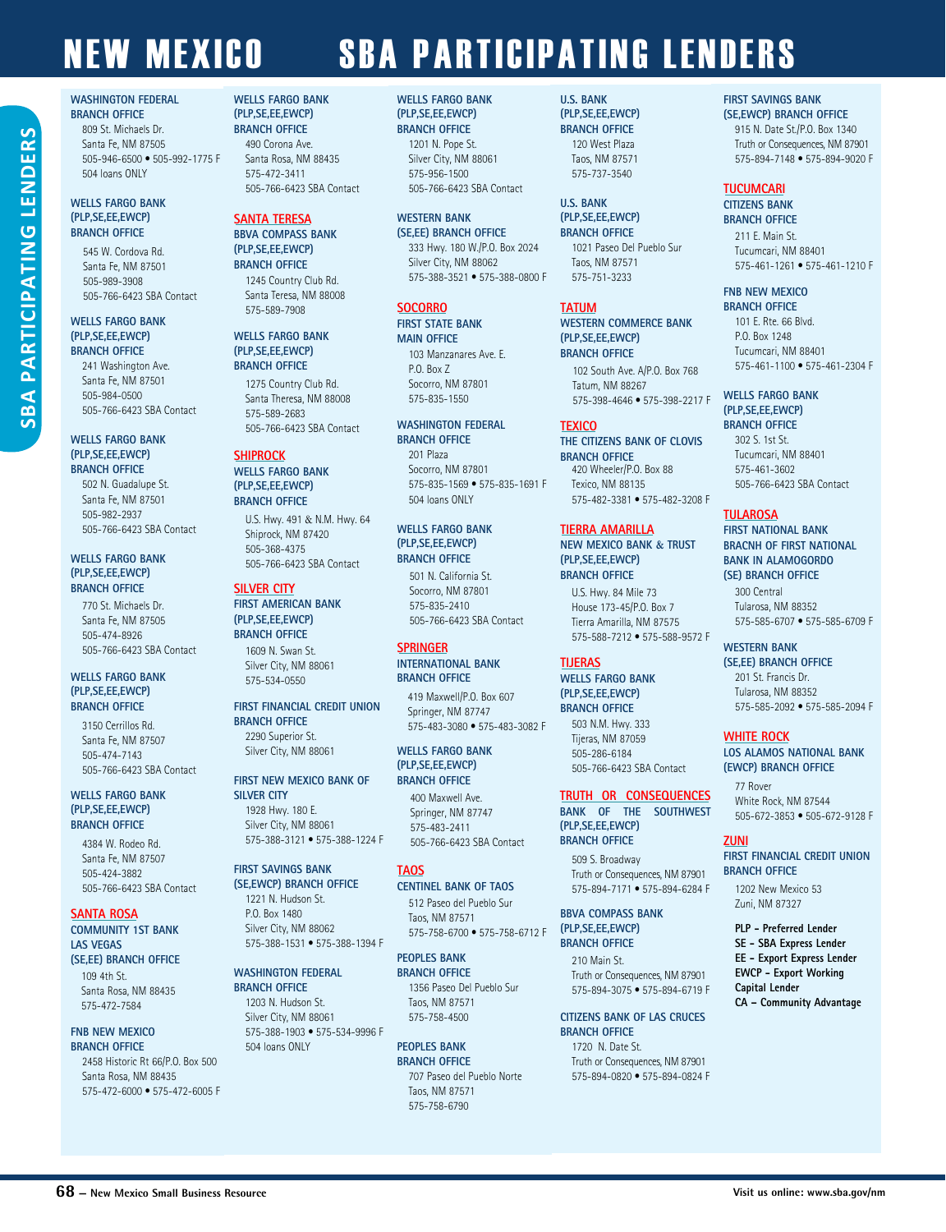#### **WASHINGTON FEDERAL BRANCH OFFICE**

809 St. Michaels Dr. Santa Fe, NM 87505 505-946-6500 • 505-992-1775 F 504 loans ONLY

#### **WELLS FARGO BANK (PLP,SE,EE,EWCP) BRANCH OFFICE**

**SBA PARTICIPATING LENDERS**

**PARTICIPATING L** 

SBA

ENDER

545 W. Cordova Rd. Santa Fe, NM 87501 505-989-3908 505-766-6423 SBA Contact

#### **WELLS FARGO BANK (PLP,SE,EE,EWCP) BRANCH OFFICE**

241 Washington Ave. Santa Fe, NM 87501 505-984-0500 505-766-6423 SBA Contact

#### **WELLS FARGO BANK (PLP,SE,EE,EWCP) BRANCH OFFICE**

502 N. Guadalupe St. Santa Fe, NM 87501 505-982-2937 505-766-6423 SBA Contact

#### **WELLS FARGO BANK (PLP,SE,EE,EWCP) BRANCH OFFICE**

770 St. Michaels Dr. Santa Fe, NM 87505 505-474-8926 505-766-6423 SBA Contact

#### **WELLS FARGO BANK (PLP,SE,EE,EWCP) BRANCH OFFICE**

3150 Cerrillos Rd. Santa Fe, NM 87507 505-474-7143 505-766-6423 SBA Contact

#### **WELLS FARGO BANK (PLP,SE,EE,EWCP) BRANCH OFFICE**

4384 W. Rodeo Rd. Santa Fe, NM 87507 505-424-3882 505-766-6423 SBA Contact

#### **SANTA ROSA COMMUNITY 1ST BANK**

**LAS VEGAS (SE,EE) BRANCH OFFICE** 109 4th St.

Santa Rosa, NM 88435 575-472-7584

#### **FNB NEW MEXICO BRANCH OFFICE**

2458 Historic Rt 66/P.O. Box 500 Santa Rosa, NM 88435 575-472-6000 • 575-472-6005 F

#### **WELLS FARGO BANK (PLP,SE,EE,EWCP) BRANCH OFFICE** 490 Corona Ave. Santa Rosa, NM 88435 575-472-3411 505-766-6423 SBA Contact

#### **SANTA TERESA BBVA COMPASS BANK (PLP,SE,EE,EWCP) BRANCH OFFICE**

1245 Country Club Rd. Santa Teresa, NM 88008 575-589-7908

#### **WELLS FARGO BANK (PLP,SE,EE,EWCP) BRANCH OFFICE**

1275 Country Club Rd. Santa Theresa, NM 88008 575-589-2683 505-766-6423 SBA Contact

#### **SHIPROCK**

**WELLS FARGO BANK (PLP,SE,EE,EWCP) BRANCH OFFICE**

U.S. Hwy. 491 & N.M. Hwy. 64 Shiprock, NM 87420 505-368-4375 505-766-6423 SBA Contact

#### **SILVER CITY**

#### **FIRST AMERICAN BANK (PLP,SE,EE,EWCP) BRANCH OFFICE**

1609 N. Swan St. Silver City, NM 88061 575-534-0550

**FIRST FINANCIAL CREDIT UNION BRANCH OFFICE** 2290 Superior St. Silver City, NM 88061

**FIRST NEW MEXICO BANK OF SILVER CITY**  1928 Hwy. 180 E. Silver City, NM 88061 575-388-3121 • 575-388-1224 F

#### **FIRST SAVINGS BANK (SE,EWCP) BRANCH OFFICE** 1221 N. Hudson St.

P.O. Box 1480 Silver City, NM 88062 575-388-1531 • 575-388-1394 F

**WASHINGTON FEDERAL BRANCH OFFICE**  1203 N. Hudson St. Silver City, NM 88061 575-388-1903 • 575-534-9996 F 504 loans ONLY

#### **BRANCH OFFICE** Taos, NM 87571 575-758-6790

#### **WELLS FARGO BANK (PLP,SE,EE,EWCP) BRANCH OFFICE** 1201 N. Pope St. Silver City, NM 88061 575-956-1500 505-766-6423 SBA Contact

#### **WESTERN BANK**

**(SE,EE) BRANCH OFFICE**  333 Hwy. 180 W./P.O. Box 2024 Silver City, NM 88062 575-388-3521 • 575-388-0800 F

#### **SOCORRO**

#### **FIRST STATE BANK MAIN OFFICE**

103 Manzanares Ave. E. P.O. Box 7 Socorro, NM 87801 575-835-1550

#### **WASHINGTON FEDERAL BRANCH OFFICE**

201 Plaza Socorro, NM 87801 575-835-1569 • 575-835-1691 F 504 loans ONLY

#### **WELLS FARGO BANK (PLP,SE,EE,EWCP) BRANCH OFFICE**

501 N. California St. Socorro, NM 87801 575-835-2410 505-766-6423 SBA Contact

#### **SPRINGER**

**INTERNATIONAL BANK BRANCH OFFICE** 

Springer, NM 87747 575-483-3080 • 575-483-3082 F

**WELLS FARGO BANK (PLP,SE,EE,EWCP) BRANCH OFFICE**

400 Maxwell Ave. Springer, NM 87747 575-483-2411 505-766-6423 SBA Contact

#### **TAOS**

**CENTINEL BANK OF TAOS**  512 Paseo del Pueblo Sur Taos, NM 87571 575-758-6700 • 575-758-6712 F

**PEOPLES BANK BRANCH OFFICE** 1356 Paseo Del Pueblo Sur Taos, NM 87571 575-758-4500

**PEOPLES BANK**  707 Paseo del Pueblo Norte

#### **U.S. BANK**

**(PLP,SE,EE,EWCP) BRANCH OFFICE** 120 West Plaza Taos, NM 87571 575-737-3540

#### **U.S. BANK (PLP,SE,EE,EWCP) BRANCH OFFICE**

1021 Paseo Del Pueblo Sur Taos, NM 87571 575-751-3233

#### **TATUM**

**WESTERN COMMERCE BANK (PLP,SE,EE,EWCP) BRANCH OFFICE**

102 South Ave. A/P.O. Box 768 Tatum, NM 88267 575-398-4646 • 575-398-2217 F

#### **TEXICO**

**THE CITIZENS BANK OF CLOVIS BRANCH OFFICE**  420 Wheeler/P.O. Box 88 Texico, NM 88135 575-482-3381 • 575-482-3208 F

#### **TIERRA AMARILLA**

**NEW MEXICO BANK & TRUST (PLP,SE,EE,EWCP) BRANCH OFFICE**

U.S. Hwy. 84 Mile 73 House 173-45/P.O. Box 7 Tierra Amarilla, NM 87575 575-588-7212 • 575-588-9572 F

#### **TIJERAS**

**WELLS FARGO BANK (PLP,SE,EE,EWCP) BRANCH OFFICE**

> 503 N.M. Hwy. 333 Tijeras, NM 87059 505-286-6184 505-766-6423 SBA Contact

#### **TRUTH OR CONSEQUENCES BANK OF THE SOUTHWEST**

**(PLP,SE,EE,EWCP) BRANCH OFFICE** 509 S. Broadway

Truth or Consequences, NM 87901 575-894-7171 • 575-894-6284 F

**BBVA COMPASS BANK (PLP,SE,EE,EWCP) BRANCH OFFICE**

210 Main St. Truth or Consequences, NM 87901 575-894-3075 • 575-894-6719 F

**CITIZENS BANK OF LAS CRUCES BRANCH OFFICE**  1720 N. Date St. Truth or Consequences, NM 87901 575-894-0820 • 575-894-0824 F

#### **FIRST SAVINGS BANK**

**(SE,EWCP) BRANCH OFFICE** 915 N. Date St./P.O. Box 1340 Truth or Consequences, NM 87901 575-894-7148 • 575-894-9020 F

#### **TUCUMCARI**

**CITIZENS BANK BRANCH OFFICE** 

211 E. Main St. Tucumcari, NM 88401 575-461-1261 • 575-461-1210 F

#### **FNB NEW MEXICO**

**BRANCH OFFICE**  101 E. Rte. 66 Blvd. P.O. Box 1248 Tucumcari, NM 88401 575-461-1100 • 575-461-2304 F

#### **WELLS FARGO BANK**

**(PLP,SE,EE,EWCP) BRANCH OFFICE** 302 S. 1st St. Tucumcari, NM 88401 575-461-3602 505-766-6423 SBA Contact

#### **TULAROSA**

#### **FIRST NATIONAL BANK BRACNH OF FIRST NATIONAL BANK IN ALAMOGORDO (SE) BRANCH OFFICE**  300 Central

Tularosa, NM 88352 575-585-6707 • 575-585-6709 F

#### **WESTERN BANK**

**(SE,EE) BRANCH OFFICE** 201 St. Francis Dr. Tularosa, NM 88352 575-585-2092 • 575-585-2094 F

#### **WHITE ROCK**

**LOS ALAMOS NATIONAL BANK (EWCP) BRANCH OFFICE**

77 Rover White Rock, NM 87544 505-672-3853 • 505-672-9128 F

#### **ZUNI**

**FIRST FINANCIAL CREDIT UNION BRANCH OFFICE**

1202 New Mexico 53 Zuni, NM 87327

#### **PLP - Preferred Lender SE - SBA Express Lender EE - Export Express Lender EWCP - Export Working Capital Lender CA – Community Advantage**

# 419 Maxwell/P.O. Box 607